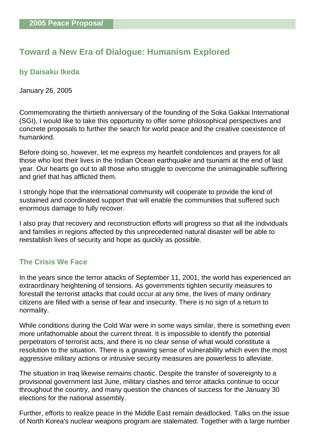# <span id="page-0-0"></span>**Toward a New Era of Dialogue: Humanism Explored**

### **by Daisaku Ikeda**

January 26, 2005

Commemorating the thirtieth anniversary of the founding of the Soka Gakkai International (SGI), I would like to take this opportunity to offer some philosophical perspectives and concrete proposals to further the search for world peace and the creative coexistence of humankind.

Before doing so, however, let me express my heartfelt condolences and prayers for all those who lost their lives in the Indian Ocean earthquake and tsunami at the end of last year. Our hearts go out to all those who struggle to overcome the unimaginable suffering and grief that has afflicted them.

I strongly hope that the international community will cooperate to provide the kind of sustained and coordinated support that will enable the communities that suffered such enormous damage to fully recover.

I also pray that recovery and reconstruction efforts will progress so that all the individuals and families in regions affected by this unprecedented natural disaster will be able to reestablish lives of security and hope as quickly as possible.

### **The Crisis We Face**

In the years since the terror attacks of September 11, 2001, the world has experienced an extraordinary heightening of tensions. As governments tighten security measures to forestall the terrorist attacks that could occur at any time, the lives of many ordinary citizens are filled with a sense of fear and insecurity. There is no sign of a return to normality.

While conditions during the Cold War were in some ways similar, there is something even more unfathomable about the current threat. It is impossible to identify the potential perpetrators of terrorist acts, and there is no clear sense of what would constitute a resolution to the situation. There is a gnawing sense of vulnerability which even the most aggressive military actions or intrusive security measures are powerless to alleviate.

The situation in Iraq likewise remains chaotic. Despite the transfer of sovereignty to a provisional government last June, military clashes and terror attacks continue to occur throughout the country, and many question the chances of success for the January 30 elections for the national assembly.

Further, efforts to realize peace in the Middle East remain deadlocked. Talks on the issue of North Korea's nuclear weapons program are stalemated. Together with a large number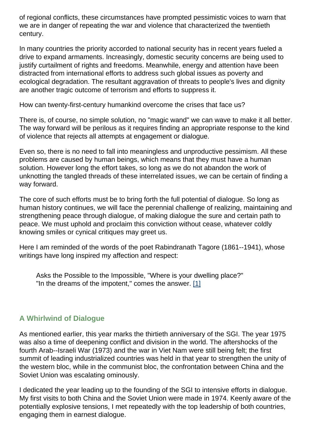of regional conflicts, these circumstances have prompted pessimistic voices to warn that we are in danger of repeating the war and violence that characterized the twentieth century.

In many countries the priority accorded to national security has in recent years fueled a drive to expand armaments. Increasingly, domestic security concerns are being used to justify curtailment of rights and freedoms. Meanwhile, energy and attention have been distracted from international efforts to address such global issues as poverty and ecological degradation. The resultant aggravation of threats to people's lives and dignity are another tragic outcome of terrorism and efforts to suppress it.

How can twenty-first-century humankind overcome the crises that face us?

There is, of course, no simple solution, no "magic wand" we can wave to make it all better. The way forward will be perilous as it requires finding an appropriate response to the kind of violence that rejects all attempts at engagement or dialogue.

Even so, there is no need to fall into meaningless and unproductive pessimism. All these problems are caused by human beings, which means that they must have a human solution. However long the effort takes, so long as we do not abandon the work of unknotting the tangled threads of these interrelated issues, we can be certain of finding a way forward.

The core of such efforts must be to bring forth the full potential of dialogue. So long as human history continues, we will face the perennial challenge of realizing, maintaining and strengthening peace through dialogue, of making dialogue the sure and certain path to peace. We must uphold and proclaim this conviction without cease, whatever coldly knowing smiles or cynical critiques may greet us.

Here I am reminded of the words of the poet Rabindranath Tagore (1861--1941), whose writings have long inspired my affection and respect:

Asks the Possible to the Impossible, "Where is your dwelling place?" "In the dreams of the impotent," comes the answer. [\[1\]](#page-0-0)

### **A Whirlwind of Dialogue**

As mentioned earlier, this year marks the thirtieth anniversary of the SGI. The year 1975 was also a time of deepening conflict and division in the world. The aftershocks of the fourth Arab--Israeli War (1973) and the war in Viet Nam were still being felt; the first summit of leading industrialized countries was held in that year to strengthen the unity of the western bloc, while in the communist bloc, the confrontation between China and the Soviet Union was escalating ominously.

I dedicated the year leading up to the founding of the SGI to intensive efforts in dialogue. My first visits to both China and the Soviet Union were made in 1974. Keenly aware of the potentially explosive tensions, I met repeatedly with the top leadership of both countries, engaging them in earnest dialogue.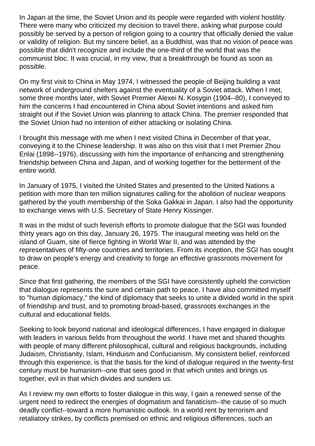In Japan at the time, the Soviet Union and its people were regarded with violent hostility. There were many who criticized my decision to travel there, asking what purpose could possibly be served by a person of religion going to a country that officially denied the value or validity of religion. But my sincere belief, as a Buddhist, was that no vision of peace was possible that didn't recognize and include the one-third of the world that was the communist bloc. It was crucial, in my view, that a breakthrough be found as soon as possible.

On my first visit to China in May 1974, I witnessed the people of Beijing building a vast network of underground shelters against the eventuality of a Soviet attack. When I met, some three months later, with Soviet Premier Alexei N. Kosygin (1904--80), I conveyed to him the concerns I had encountered in China about Soviet intentions and asked him straight out if the Soviet Union was planning to attack China. The premier responded that the Soviet Union had no intention of either attacking or isolating China.

I brought this message with me when I next visited China in December of that year, conveying it to the Chinese leadership. It was also on this visit that I met Premier Zhou Enlai (1898--1976), discussing with him the importance of enhancing and strengthening friendship between China and Japan, and of working together for the betterment of the entire world.

In January of 1975, I visited the United States and presented to the United Nations a petition with more than ten million signatures calling for the abolition of nuclear weapons gathered by the youth membership of the Soka Gakkai in Japan. I also had the opportunity to exchange views with U.S. Secretary of State Henry Kissinger.

It was in the midst of such feverish efforts to promote dialogue that the SGI was founded thirty years ago on this day, January 26, 1975. The inaugural meeting was held on the island of Guam, site of fierce fighting in World War II, and was attended by the representatives of fifty-one countries and territories. From its inception, the SGI has sought to draw on people's energy and creativity to forge an effective grassroots movement for peace.

Since that first gathering, the members of the SGI have consistently upheld the conviction that dialogue represents the sure and certain path to peace. I have also committed myself to "human diplomacy," the kind of diplomacy that seeks to unite a divided world in the spirit of friendship and trust, and to promoting broad-based, grassroots exchanges in the cultural and educational fields.

Seeking to look beyond national and ideological differences, I have engaged in dialogue with leaders in various fields from throughout the world. I have met and shared thoughts with people of many different philosophical, cultural and religious backgrounds, including Judaism, Christianity, Islam, Hinduism and Confucianism. My consistent belief, reinforced through this experience, is that the basis for the kind of dialogue required in the twenty-first century must be humanism--one that sees good in that which unites and brings us together, evil in that which divides and sunders us.

As I review my own efforts to foster dialogue in this way, I gain a renewed sense of the urgent need to redirect the energies of dogmatism and fanaticism--the cause of so much deadly conflict--toward a more humanistic outlook. In a world rent by terrorism and retaliatory strikes, by conflicts premised on ethnic and religious differences, such an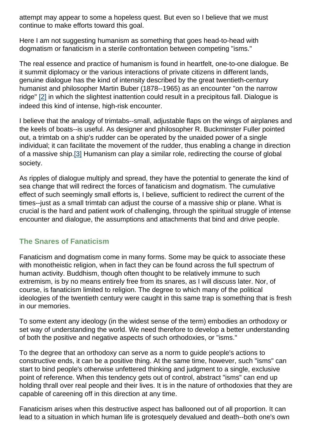attempt may appear to some a hopeless quest. But even so I believe that we must continue to make efforts toward this goal.

Here I am not suggesting humanism as something that goes head-to-head with dogmatism or fanaticism in a sterile confrontation between competing "isms."

The real essence and practice of humanism is found in heartfelt, one-to-one dialogue. Be it summit diplomacy or the various interactions of private citizens in different lands, genuine dialogue has the kind of intensity described by the great twentieth-century humanist and philosopher Martin Buber (1878--1965) as an encounter "on the narrow ridge" [\[2\]](#page-29-0) in which the slightest inattention could result in a precipitous fall. Dialogue is indeed this kind of intense, high-risk encounter.

I believe that the analogy of trimtabs--small, adjustable flaps on the wings of airplanes and the keels of boats--is useful. As designer and philosopher R. Buckminster Fuller pointed out, a trimtab on a ship's rudder can be operated by the unaided power of a single individual; it can facilitate the movement of the rudder, thus enabling a change in direction of a massive ship.[\[3\]](#page-29-1) Humanism can play a similar role, redirecting the course of global society.

As ripples of dialogue multiply and spread, they have the potential to generate the kind of sea change that will redirect the forces of fanaticism and dogmatism. The cumulative effect of such seemingly small efforts is, I believe, sufficient to redirect the current of the times--just as a small trimtab can adjust the course of a massive ship or plane. What is crucial is the hard and patient work of challenging, through the spiritual struggle of intense encounter and dialogue, the assumptions and attachments that bind and drive people.

### **The Snares of Fanaticism**

Fanaticism and dogmatism come in many forms. Some may be quick to associate these with monotheistic religion, when in fact they can be found across the full spectrum of human activity. Buddhism, though often thought to be relatively immune to such extremism, is by no means entirely free from its snares, as I will discuss later. Nor, of course, is fanaticism limited to religion. The degree to which many of the political ideologies of the twentieth century were caught in this same trap is something that is fresh in our memories.

To some extent any ideology (in the widest sense of the term) embodies an orthodoxy or set way of understanding the world. We need therefore to develop a better understanding of both the positive and negative aspects of such orthodoxies, or "isms."

To the degree that an orthodoxy can serve as a norm to guide people's actions to constructive ends, it can be a positive thing. At the same time, however, such "isms" can start to bind people's otherwise unfettered thinking and judgment to a single, exclusive point of reference. When this tendency gets out of control, abstract "isms" can end up holding thrall over real people and their lives. It is in the nature of orthodoxies that they are capable of careening off in this direction at any time.

Fanaticism arises when this destructive aspect has ballooned out of all proportion. It can lead to a situation in which human life is grotesquely devalued and death--both one's own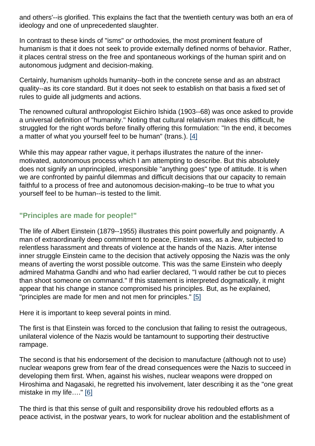and others'--is glorified. This explains the fact that the twentieth century was both an era of ideology and one of unprecedented slaughter.

In contrast to these kinds of "isms" or orthodoxies, the most prominent feature of humanism is that it does not seek to provide externally defined norms of behavior. Rather, it places central stress on the free and spontaneous workings of the human spirit and on autonomous judgment and decision-making.

Certainly, humanism upholds humanity--both in the concrete sense and as an abstract quality--as its core standard. But it does not seek to establish on that basis a fixed set of rules to guide all judgments and actions.

The renowned cultural anthropologist Eiichiro Ishida (1903--68) was once asked to provide a universal definition of "humanity." Noting that cultural relativism makes this difficult, he struggled for the right words before finally offering this formulation: "In the end, it becomes a matter of what you yourself feel to be human" (trans.). [\[4\]](#page-29-2)

While this may appear rather vague, it perhaps illustrates the nature of the innermotivated, autonomous process which I am attempting to describe. But this absolutely does not signify an unprincipled, irresponsible "anything goes" type of attitude. It is when we are confronted by painful dilemmas and difficult decisions that our capacity to remain faithful to a process of free and autonomous decision-making--to be true to what you yourself feel to be human--is tested to the limit.

### **"Principles are made for people!"**

The life of Albert Einstein (1879--1955) illustrates this point powerfully and poignantly. A man of extraordinarily deep commitment to peace, Einstein was, as a Jew, subjected to relentless harassment and threats of violence at the hands of the Nazis. After intense inner struggle Einstein came to the decision that actively opposing the Nazis was the only means of averting the worst possible outcome. This was the same Einstein who deeply admired Mahatma Gandhi and who had earlier declared, "I would rather be cut to pieces than shoot someone on command." If this statement is interpreted dogmatically, it might appear that his change in stance compromised his principles. But, as he explained, "principles are made for men and not men for principles." [\[5\]](#page-29-3)

Here it is important to keep several points in mind.

The first is that Einstein was forced to the conclusion that failing to resist the outrageous, unilateral violence of the Nazis would be tantamount to supporting their destructive rampage.

The second is that his endorsement of the decision to manufacture (although not to use) nuclear weapons grew from fear of the dread consequences were the Nazis to succeed in developing them first. When, against his wishes, nuclear weapons were dropped on Hiroshima and Nagasaki, he regretted his involvement, later describing it as the "one great mistake in my life…." [\[6\]](#page-29-4)

The third is that this sense of guilt and responsibility drove his redoubled efforts as a peace activist, in the postwar years, to work for nuclear abolition and the establishment of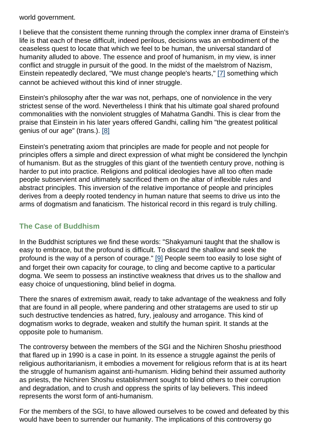world government.

I believe that the consistent theme running through the complex inner drama of Einstein's life is that each of these difficult, indeed perilous, decisions was an embodiment of the ceaseless quest to locate that which we feel to be human, the universal standard of humanity alluded to above. The essence and proof of humanism, in my view, is inner conflict and struggle in pursuit of the good. In the midst of the maelstrom of Nazism, Einstein repeatedly declared, "We must change people's hearts," [\[7\]](#page-29-5) something which cannot be achieved without this kind of inner struggle.

Einstein's philosophy after the war was not, perhaps, one of nonviolence in the very strictest sense of the word. Nevertheless I think that his ultimate goal shared profound commonalities with the nonviolent struggles of Mahatma Gandhi. This is clear from the praise that Einstein in his later years offered Gandhi, calling him "the greatest political genius of our age" (trans.). [\[8\]](#page-29-5)

Einstein's penetrating axiom that principles are made for people and not people for principles offers a simple and direct expression of what might be considered the lynchpin of humanism. But as the struggles of this giant of the twentieth century prove, nothing is harder to put into practice. Religions and political ideologies have all too often made people subservient and ultimately sacrificed them on the altar of inflexible rules and abstract principles. This inversion of the relative importance of people and principles derives from a deeply rooted tendency in human nature that seems to drive us into the arms of dogmatism and fanaticism. The historical record in this regard is truly chilling.

# **The Case of Buddhism**

In the Buddhist scriptures we find these words: "Shakyamuni taught that the shallow is easy to embrace, but the profound is difficult. To discard the shallow and seek the profound is the way of a person of courage." [\[9\]](#page-29-6) People seem too easily to lose sight of and forget their own capacity for courage, to cling and become captive to a particular dogma. We seem to possess an instinctive weakness that drives us to the shallow and easy choice of unquestioning, blind belief in dogma.

There the snares of extremism await, ready to take advantage of the weakness and folly that are found in all people, where pandering and other stratagems are used to stir up such destructive tendencies as hatred, fury, jealousy and arrogance. This kind of dogmatism works to degrade, weaken and stultify the human spirit. It stands at the opposite pole to humanism.

The controversy between the members of the SGI and the Nichiren Shoshu priesthood that flared up in 1990 is a case in point. In its essence a struggle against the perils of religious authoritarianism, it embodies a movement for religious reform that is at its heart the struggle of humanism against anti-humanism. Hiding behind their assumed authority as priests, the Nichiren Shoshu establishment sought to blind others to their corruption and degradation, and to crush and oppress the spirits of lay believers. This indeed represents the worst form of anti-humanism.

For the members of the SGI, to have allowed ourselves to be cowed and defeated by this would have been to surrender our humanity. The implications of this controversy go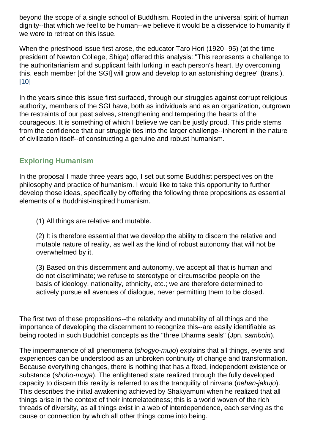beyond the scope of a single school of Buddhism. Rooted in the universal spirit of human dignity--that which we feel to be human--we believe it would be a disservice to humanity if we were to retreat on this issue.

When the priesthood issue first arose, the educator Taro Hori (1920--95) (at the time president of Newton College, Shiga) offered this analysis: "This represents a challenge to the authoritarianism and supplicant faith lurking in each person's heart. By overcoming this, each member [of the SGI] will grow and develop to an astonishing degree" (trans.). [\[10\]](#page-29-6)

In the years since this issue first surfaced, through our struggles against corrupt religious authority, members of the SGI have, both as individuals and as an organization, outgrown the restraints of our past selves, strengthening and tempering the hearts of the courageous. It is something of which I believe we can be justly proud. This pride stems from the confidence that our struggle ties into the larger challenge--inherent in the nature of civilization itself--of constructing a genuine and robust humanism.

#### **Exploring Humanism**

In the proposal I made three years ago, I set out some Buddhist perspectives on the philosophy and practice of humanism. I would like to take this opportunity to further develop those ideas, specifically by offering the following three propositions as essential elements of a Buddhist-inspired humanism.

(1) All things are relative and mutable.

(2) It is therefore essential that we develop the ability to discern the relative and mutable nature of reality, as well as the kind of robust autonomy that will not be overwhelmed by it.

(3) Based on this discernment and autonomy, we accept all that is human and do not discriminate; we refuse to stereotype or circumscribe people on the basis of ideology, nationality, ethnicity, etc.; we are therefore determined to actively pursue all avenues of dialogue, never permitting them to be closed.

The first two of these propositions--the relativity and mutability of all things and the importance of developing the discernment to recognize this--are easily identifiable as being rooted in such Buddhist concepts as the "three Dharma seals" (Jpn. *samboin*).

The impermanence of all phenomena (*shogyo-mujo*) explains that all things, events and experiences can be understood as an unbroken continuity of change and transformation. Because everything changes, there is nothing that has a fixed, independent existence or substance (*shoho-muga*). The enlightened state realized through the fully developed capacity to discern this reality is referred to as the tranquility of nirvana (*nehan-jakujo*). This describes the initial awakening achieved by Shakyamuni when he realized that all things arise in the context of their interrelatedness; this is a world woven of the rich threads of diversity, as all things exist in a web of interdependence, each serving as the cause or connection by which all other things come into being.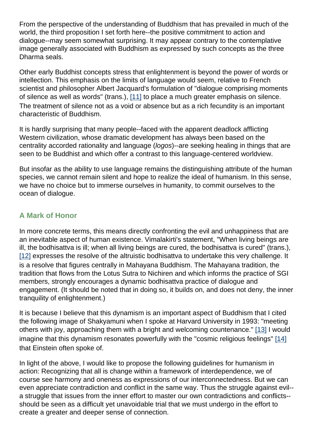From the perspective of the understanding of Buddhism that has prevailed in much of the world, the third proposition I set forth here--the positive commitment to action and dialogue--may seem somewhat surprising. It may appear contrary to the contemplative image generally associated with Buddhism as expressed by such concepts as the three Dharma seals.

Other early Buddhist concepts stress that enlightenment is beyond the power of words or intellection. This emphasis on the limits of language would seem, relative to French scientist and philosopher Albert Jacquard's formulation of "dialogue comprising moments of silence as well as words" (trans.), [\[11\]](#page-29-7) to place a much greater emphasis on silence. The treatment of silence not as a void or absence but as a rich fecundity is an important characteristic of Buddhism.

It is hardly surprising that many people--faced with the apparent deadlock afflicting Western civilization, whose dramatic development has always been based on the centrality accorded rationality and language (*logos*)--are seeking healing in things that are seen to be Buddhist and which offer a contrast to this language-centered worldview.

But insofar as the ability to use language remains the distinguishing attribute of the human species, we cannot remain silent and hope to realize the ideal of humanism. In this sense, we have no choice but to immerse ourselves in humanity, to commit ourselves to the ocean of dialogue.

### **A Mark of Honor**

In more concrete terms, this means directly confronting the evil and unhappiness that are an inevitable aspect of human existence. Vimalakirti's statement, "When living beings are ill, the bodhisattva is ill; when all living beings are cured, the bodhisattva is cured" (trans.), [\[12\]](#page-29-8) expresses the resolve of the altruistic bodhisattva to undertake this very challenge. It is a resolve that figures centrally in Mahayana Buddhism. The Mahayana tradition, the tradition that flows from the Lotus Sutra to Nichiren and which informs the practice of SGI members, strongly encourages a dynamic bodhisattva practice of dialogue and engagement. (It should be noted that in doing so, it builds on, and does not deny, the inner tranquility of enlightenment.)

It is because I believe that this dynamism is an important aspect of Buddhism that I cited the following image of Shakyamuni when I spoke at Harvard University in 1993: "meeting others with joy, approaching them with a bright and welcoming countenance." [\[13\]](#page-29-9) I would imagine that this dynamism resonates powerfully with the "cosmic religious feelings" [\[14\]](#page-29-10) that Einstein often spoke of.

In light of the above, I would like to propose the following guidelines for humanism in action: Recognizing that all is change within a framework of interdependence, we of course see harmony and oneness as expressions of our interconnectedness. But we can even appreciate contradiction and conflict in the same way. Thus the struggle against evil- a struggle that issues from the inner effort to master our own contradictions and conflicts- should be seen as a difficult yet unavoidable trial that we must undergo in the effort to create a greater and deeper sense of connection.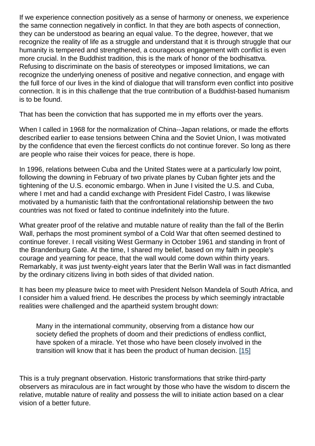If we experience connection positively as a sense of harmony or oneness, we experience the same connection negatively in conflict. In that they are both aspects of connection, they can be understood as bearing an equal value. To the degree, however, that we recognize the reality of life as a struggle and understand that it is through struggle that our humanity is tempered and strengthened, a courageous engagement with conflict is even more crucial. In the Buddhist tradition, this is the mark of honor of the bodhisattva. Refusing to discriminate on the basis of stereotypes or imposed limitations, we can recognize the underlying oneness of positive and negative connection, and engage with the full force of our lives in the kind of dialogue that will transform even conflict into positive connection. It is in this challenge that the true contribution of a Buddhist-based humanism is to be found.

That has been the conviction that has supported me in my efforts over the years.

When I called in 1968 for the normalization of China--Japan relations, or made the efforts described earlier to ease tensions between China and the Soviet Union, I was motivated by the confidence that even the fiercest conflicts do not continue forever. So long as there are people who raise their voices for peace, there is hope.

In 1996, relations between Cuba and the United States were at a particularly low point, following the downing in February of two private planes by Cuban fighter jets and the tightening of the U.S. economic embargo. When in June I visited the U.S. and Cuba, where I met and had a candid exchange with President Fidel Castro, I was likewise motivated by a humanistic faith that the confrontational relationship between the two countries was not fixed or fated to continue indefinitely into the future.

What greater proof of the relative and mutable nature of reality than the fall of the Berlin Wall, perhaps the most prominent symbol of a Cold War that often seemed destined to continue forever. I recall visiting West Germany in October 1961 and standing in front of the Brandenburg Gate. At the time, I shared my belief, based on my faith in people's courage and yearning for peace, that the wall would come down within thirty years. Remarkably, it was just twenty-eight years later that the Berlin Wall was in fact dismantled by the ordinary citizens living in both sides of that divided nation.

It has been my pleasure twice to meet with President Nelson Mandela of South Africa, and I consider him a valued friend. He describes the process by which seemingly intractable realities were challenged and the apartheid system brought down:

Many in the international community, observing from a distance how our society defied the prophets of doom and their predictions of endless conflict, have spoken of a miracle. Yet those who have been closely involved in the transition will know that it has been the product of human decision. [\[15\]](#page-29-11)

This is a truly pregnant observation. Historic transformations that strike third-party observers as miraculous are in fact wrought by those who have the wisdom to discern the relative, mutable nature of reality and possess the will to initiate action based on a clear vision of a better future.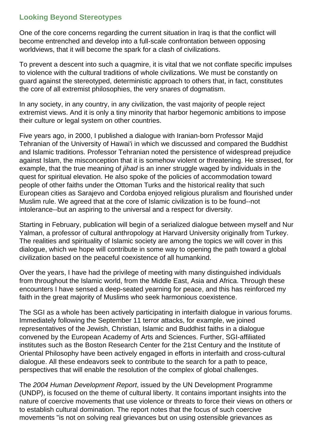#### **Looking Beyond Stereotypes**

One of the core concerns regarding the current situation in Iraq is that the conflict will become entrenched and develop into a full-scale confrontation between opposing worldviews, that it will become the spark for a clash of civilizations.

To prevent a descent into such a quagmire, it is vital that we not conflate specific impulses to violence with the cultural traditions of whole civilizations. We must be constantly on guard against the stereotyped, deterministic approach to others that, in fact, constitutes the core of all extremist philosophies, the very snares of dogmatism.

In any society, in any country, in any civilization, the vast majority of people reject extremist views. And it is only a tiny minority that harbor hegemonic ambitions to impose their culture or legal system on other countries.

Five years ago, in 2000, I published a dialogue with Iranian-born Professor Majid Tehranian of the University of Hawai'i in which we discussed and compared the Buddhist and Islamic traditions. Professor Tehranian noted the persistence of widespread prejudice against Islam, the misconception that it is somehow violent or threatening. He stressed, for example, that the true meaning of *jihad* is an inner struggle waged by individuals in the quest for spiritual elevation. He also spoke of the policies of accommodation toward people of other faiths under the Ottoman Turks and the historical reality that such European cities as Sarajevo and Cordoba enjoyed religious pluralism and flourished under Muslim rule. We agreed that at the core of Islamic civilization is to be found--not intolerance--but an aspiring to the universal and a respect for diversity.

Starting in February, publication will begin of a serialized dialogue between myself and Nur Yalman, a professor of cultural anthropology at Harvard University originally from Turkey. The realities and spirituality of Islamic society are among the topics we will cover in this dialogue, which we hope will contribute in some way to opening the path toward a global civilization based on the peaceful coexistence of all humankind.

Over the years, I have had the privilege of meeting with many distinguished individuals from throughout the Islamic world, from the Middle East, Asia and Africa. Through these encounters I have sensed a deep-seated yearning for peace, and this has reinforced my faith in the great majority of Muslims who seek harmonious coexistence.

The SGI as a whole has been actively participating in interfaith dialogue in various forums. Immediately following the September 11 terror attacks, for example, we joined representatives of the Jewish, Christian, Islamic and Buddhist faiths in a dialogue convened by the European Academy of Arts and Sciences. Further, SGI-affiliated institutes such as the Boston Research Center for the 21st Century and the Institute of Oriental Philosophy have been actively engaged in efforts in interfaith and cross-cultural dialogue. All these endeavors seek to contribute to the search for a path to peace, perspectives that will enable the resolution of the complex of global challenges.

The *2004 Human Development Report*, issued by the UN Development Programme (UNDP), is focused on the theme of cultural liberty. It contains important insights into the nature of coercive movements that use violence or threats to force their views on others or to establish cultural domination. The report notes that the focus of such coercive movements "is not on solving real grievances but on using ostensible grievances as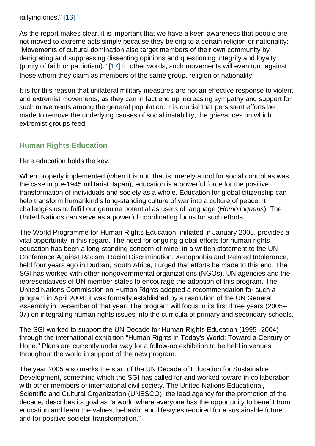rallying cries." [\[16\]](#page-30-0)

As the report makes clear, it is important that we have a keen awareness that people are not moved to extreme acts simply because they belong to a certain religion or nationality: "Movements of cultural domination also target members of their own community by denigrating and suppressing dissenting opinions and questioning integrity and loyalty (purity of faith or patriotism)." [\[17\]](#page-30-1) In other words, such movements will even turn against those whom they claim as members of the same group, religion or nationality.

It is for this reason that unilateral military measures are not an effective response to violent and extremist movements, as they can in fact end up increasing sympathy and support for such movements among the general population. It is crucial that persistent efforts be made to remove the underlying causes of social instability, the grievances on which extremist groups feed.

### **Human Rights Education**

Here education holds the key.

When properly implemented (when it is not, that is, merely a tool for social control as was the case in pre-1945 militarist Japan), education is a powerful force for the positive transformation of individuals and society as a whole. Education for global citizenship can help transform humankind's long-standing culture of war into a culture of peace. It challenges us to fulfill our genuine potential as users of language (*Homo loquens*). The United Nations can serve as a powerful coordinating focus for such efforts.

The World Programme for Human Rights Education, initiated in January 2005, provides a vital opportunity in this regard. The need for ongoing global efforts for human rights education has been a long-standing concern of mine; in a written statement to the UN Conference Against Racism, Racial Discrimination, Xenophobia and Related Intolerance, held four years ago in Durban, South Africa, I urged that efforts be made to this end. The SGI has worked with other nongovernmental organizations (NGOs), UN agencies and the representatives of UN member states to encourage the adoption of this program. The United Nations Commission on Human Rights adopted a recommendation for such a program in April 2004; it was formally established by a resolution of the UN General Assembly in December of that year. The program will focus in its first three years (2005-- 07) on integrating human rights issues into the curricula of primary and secondary schools.

The SGI worked to support the UN Decade for Human Rights Education (1995--2004) through the international exhibition "Human Rights in Today's World: Toward a Century of Hope." Plans are currently under way for a follow-up exhibition to be held in venues throughout the world in support of the new program.

The year 2005 also marks the start of the UN Decade of Education for Sustainable Development, something which the SGI has called for and worked toward in collaboration with other members of international civil society. The United Nations Educational, Scientific and Cultural Organization (UNESCO), the lead agency for the promotion of the decade, describes its goal as "a world where everyone has the opportunity to benefit from education and learn the values, behavior and lifestyles required for a sustainable future and for positive societal transformation."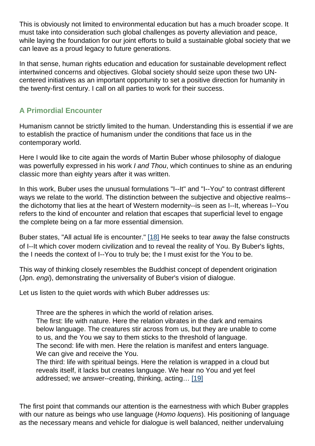This is obviously not limited to environmental education but has a much broader scope. It must take into consideration such global challenges as poverty alleviation and peace, while laying the foundation for our joint efforts to build a sustainable global society that we can leave as a proud legacy to future generations.

In that sense, human rights education and education for sustainable development reflect intertwined concerns and objectives. Global society should seize upon these two UNcentered initiatives as an important opportunity to set a positive direction for humanity in the twenty-first century. I call on all parties to work for their success.

# **A Primordial Encounter**

Humanism cannot be strictly limited to the human. Understanding this is essential if we are to establish the practice of humanism under the conditions that face us in the contemporary world.

Here I would like to cite again the words of Martin Buber whose philosophy of dialogue was powerfully expressed in his work *I and Thou*, which continues to shine as an enduring classic more than eighty years after it was written.

In this work, Buber uses the unusual formulations "I--It" and "I--You" to contrast different ways we relate to the world. The distinction between the subjective and objective realms- the dichotomy that lies at the heart of Western modernity--is seen as I--It, whereas I--You refers to the kind of encounter and relation that escapes that superficial level to engage the complete being on a far more essential dimension.

Buber states, "All actual life is encounter." [\[18\]](#page-30-2) He seeks to tear away the false constructs of I--It which cover modern civilization and to reveal the reality of You. By Buber's lights, the I needs the context of I--You to truly be; the I must exist for the You to be.

This way of thinking closely resembles the Buddhist concept of dependent origination (Jpn. *engi*), demonstrating the universality of Buber's vision of dialogue.

Let us listen to the quiet words with which Buber addresses us:

Three are the spheres in which the world of relation arises.

The first: life with nature. Here the relation vibrates in the dark and remains below language. The creatures stir across from us, but they are unable to come to us, and the You we say to them sticks to the threshold of language. The second: life with men. Here the relation is manifest and enters language. We can give and receive the You.

The third: life with spiritual beings. Here the relation is wrapped in a cloud but reveals itself, it lacks but creates language. We hear no You and yet feel addressed; we answer--creating, thinking, acting… [\[19\]](#page-30-3)

The first point that commands our attention is the earnestness with which Buber grapples with our nature as beings who use language (*Homo loquens*). His positioning of language as the necessary means and vehicle for dialogue is well balanced, neither undervaluing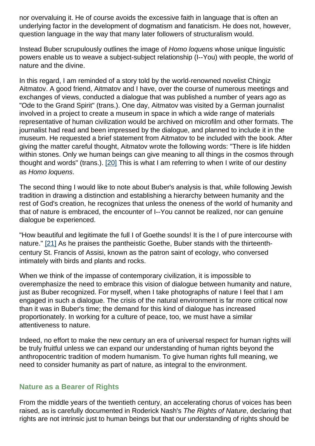nor overvaluing it. He of course avoids the excessive faith in language that is often an underlying factor in the development of dogmatism and fanaticism. He does not, however, question language in the way that many later followers of structuralism would.

Instead Buber scrupulously outlines the image of *Homo loquens* whose unique linguistic powers enable us to weave a subject-subject relationship (I--You) with people, the world of nature and the divine.

In this regard, I am reminded of a story told by the world-renowned novelist Chingiz Aitmatov. A good friend, Aitmatov and I have, over the course of numerous meetings and exchanges of views, conducted a dialogue that was published a number of years ago as "Ode to the Grand Spirit" (trans.). One day, Aitmatov was visited by a German journalist involved in a project to create a museum in space in which a wide range of materials representative of human civilization would be archived on microfilm and other formats. The journalist had read and been impressed by the dialogue, and planned to include it in the museum. He requested a brief statement from Aitmatov to be included with the book. After giving the matter careful thought, Aitmatov wrote the following words: "There is life hidden within stones. Only we human beings can give meaning to all things in the cosmos through thought and words" (trans.). [\[20\]](#page-30-4) This is what I am referring to when I write of our destiny as *Homo loquens*.

The second thing I would like to note about Buber's analysis is that, while following Jewish tradition in drawing a distinction and establishing a hierarchy between humanity and the rest of God's creation, he recognizes that unless the oneness of the world of humanity and that of nature is embraced, the encounter of I--You cannot be realized, nor can genuine dialogue be experienced.

"How beautiful and legitimate the full I of Goethe sounds! It is the I of pure intercourse with nature." [\[21\]](#page-30-5) As he praises the pantheistic Goethe, Buber stands with the thirteenthcentury St. Francis of Assisi, known as the patron saint of ecology, who conversed intimately with birds and plants and rocks.

When we think of the impasse of contemporary civilization, it is impossible to overemphasize the need to embrace this vision of dialogue between humanity and nature, just as Buber recognized. For myself, when I take photographs of nature I feel that I am engaged in such a dialogue. The crisis of the natural environment is far more critical now than it was in Buber's time; the demand for this kind of dialogue has increased proportionately. In working for a culture of peace, too, we must have a similar attentiveness to nature.

Indeed, no effort to make the new century an era of universal respect for human rights will be truly fruitful unless we can expand our understanding of human rights beyond the anthropocentric tradition of modern humanism. To give human rights full meaning, we need to consider humanity as part of nature, as integral to the environment.

#### **Nature as a Bearer of Rights**

From the middle years of the twentieth century, an accelerating chorus of voices has been raised, as is carefully documented in Roderick Nash's *The Rights of Nature*, declaring that rights are not intrinsic just to human beings but that our understanding of rights should be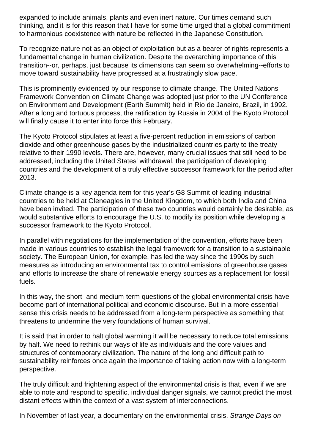expanded to include animals, plants and even inert nature. Our times demand such thinking, and it is for this reason that I have for some time urged that a global commitment to harmonious coexistence with nature be reflected in the Japanese Constitution.

To recognize nature not as an object of exploitation but as a bearer of rights represents a fundamental change in human civilization. Despite the overarching importance of this transition--or, perhaps, just because its dimensions can seem so overwhelming--efforts to move toward sustainability have progressed at a frustratingly slow pace.

This is prominently evidenced by our response to climate change. The United Nations Framework Convention on Climate Change was adopted just prior to the UN Conference on Environment and Development (Earth Summit) held in Rio de Janeiro, Brazil, in 1992. After a long and tortuous process, the ratification by Russia in 2004 of the Kyoto Protocol will finally cause it to enter into force this February.

The Kyoto Protocol stipulates at least a five-percent reduction in emissions of carbon dioxide and other greenhouse gases by the industrialized countries party to the treaty relative to their 1990 levels. There are, however, many crucial issues that still need to be addressed, including the United States' withdrawal, the participation of developing countries and the development of a truly effective successor framework for the period after 2013.

Climate change is a key agenda item for this year's G8 Summit of leading industrial countries to be held at Gleneagles in the United Kingdom, to which both India and China have been invited. The participation of these two countries would certainly be desirable, as would substantive efforts to encourage the U.S. to modify its position while developing a successor framework to the Kyoto Protocol.

In parallel with negotiations for the implementation of the convention, efforts have been made in various countries to establish the legal framework for a transition to a sustainable society. The European Union, for example, has led the way since the 1990s by such measures as introducing an environmental tax to control emissions of greenhouse gases and efforts to increase the share of renewable energy sources as a replacement for fossil fuels.

In this way, the short- and medium-term questions of the global environmental crisis have become part of international political and economic discourse. But in a more essential sense this crisis needs to be addressed from a long-term perspective as something that threatens to undermine the very foundations of human survival.

It is said that in order to halt global warming it will be necessary to reduce total emissions by half. We need to rethink our ways of life as individuals and the core values and structures of contemporary civilization. The nature of the long and difficult path to sustainability reinforces once again the importance of taking action now with a long-term perspective.

The truly difficult and frightening aspect of the environmental crisis is that, even if we are able to note and respond to specific, individual danger signals, we cannot predict the most distant effects within the context of a vast system of interconnections.

In November of last year, a documentary on the environmental crisis, *Strange Days on*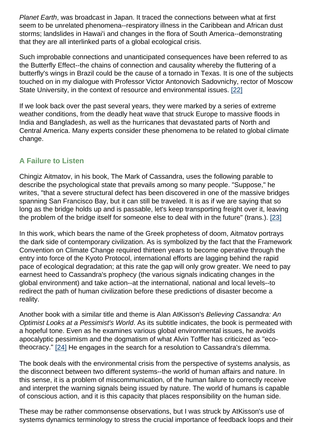*Planet Earth*, was broadcast in Japan. It traced the connections between what at first seem to be unrelated phenomena--respiratory illness in the Caribbean and African dust storms; landslides in Hawai'i and changes in the flora of South America--demonstrating that they are all interlinked parts of a global ecological crisis.

Such improbable connections and unanticipated consequences have been referred to as the Butterfly Effect--the chains of connection and causality whereby the fluttering of a butterfly's wings in Brazil could be the cause of a tornado in Texas. It is one of the subjects touched on in my dialogue with Professor Victor Antonovich Sadovnichy, rector of Moscow State University, in the context of resource and environmental issues. [\[22\]](#page-30-6)

If we look back over the past several years, they were marked by a series of extreme weather conditions, from the deadly heat wave that struck Europe to massive floods in India and Bangladesh, as well as the hurricanes that devastated parts of North and Central America. Many experts consider these phenomena to be related to global climate change.

### **A Failure to Listen**

Chingiz Aitmatov, in his book, The Mark of Cassandra, uses the following parable to describe the psychological state that prevails among so many people. "Suppose," he writes, "that a severe structural defect has been discovered in one of the massive bridges spanning San Francisco Bay, but it can still be traveled. It is as if we are saying that so long as the bridge holds up and is passable, let's keep transporting freight over it, leaving the problem of the bridge itself for someone else to deal with in the future" (trans.). [\[23\]](#page-30-7)

In this work, which bears the name of the Greek prophetess of doom, Aitmatov portrays the dark side of contemporary civilization. As is symbolized by the fact that the Framework Convention on Climate Change required thirteen years to become operative through the entry into force of the Kyoto Protocol, international efforts are lagging behind the rapid pace of ecological degradation; at this rate the gap will only grow greater. We need to pay earnest heed to Cassandra's prophecy (the various signals indicating changes in the global environment) and take action--at the international, national and local levels--to redirect the path of human civilization before these predictions of disaster become a reality.

Another book with a similar title and theme is Alan AtKisson's *Believing Cassandra: An Optimist Looks at a Pessimist's World*. As its subtitle indicates, the book is permeated with a hopeful tone. Even as he examines various global environmental issues, he avoids apocalyptic pessimism and the dogmatism of what Alvin Toffler has criticized as "ecotheocracy." [\[24\]](#page-30-8) He engages in the search for a resolution to Cassandra's dilemma.

The book deals with the environmental crisis from the perspective of systems analysis, as the disconnect between two different systems--the world of human affairs and nature. In this sense, it is a problem of miscommunication, of the human failure to correctly receive and interpret the warning signals being issued by nature. The world of humans is capable of conscious action, and it is this capacity that places responsibility on the human side.

These may be rather commonsense observations, but I was struck by AtKisson's use of systems dynamics terminology to stress the crucial importance of feedback loops and their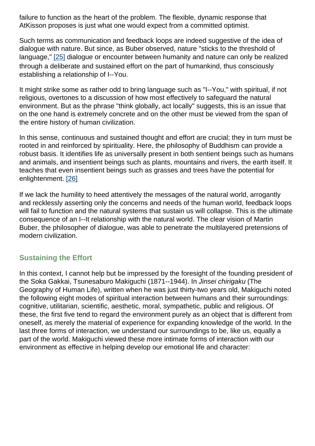failure to function as the heart of the problem. The flexible, dynamic response that AtKisson proposes is just what one would expect from a committed optimist.

Such terms as communication and feedback loops are indeed suggestive of the idea of dialogue with nature. But since, as Buber observed, nature "sticks to the threshold of language," [\[25\]](#page-30-9) dialogue or encounter between humanity and nature can only be realized through a deliberate and sustained effort on the part of humankind, thus consciously establishing a relationship of I--You.

It might strike some as rather odd to bring language such as "I--You," with spiritual, if not religious, overtones to a discussion of how most effectively to safeguard the natural environment. But as the phrase "think globally, act locally" suggests, this is an issue that on the one hand is extremely concrete and on the other must be viewed from the span of the entire history of human civilization.

In this sense, continuous and sustained thought and effort are crucial; they in turn must be rooted in and reinforced by spirituality. Here, the philosophy of Buddhism can provide a robust basis. It identifies life as universally present in both sentient beings such as humans and animals, and insentient beings such as plants, mountains and rivers, the earth itself. It teaches that even insentient beings such as grasses and trees have the potential for enlightenment. [\[26\]](#page-30-10)

If we lack the humility to heed attentively the messages of the natural world, arrogantly and recklessly asserting only the concerns and needs of the human world, feedback loops will fail to function and the natural systems that sustain us will collapse. This is the ultimate consequence of an I--It relationship with the natural world. The clear vision of Martin Buber, the philosopher of dialogue, was able to penetrate the multilayered pretensions of modern civilization.

# **Sustaining the Effort**

In this context, I cannot help but be impressed by the foresight of the founding president of the Soka Gakkai, Tsunesaburo Makiguchi (1871--1944). In *Jinsei chirigaku* (The Geography of Human Life), written when he was just thirty-two years old, Makiguchi noted the following eight modes of spiritual interaction between humans and their surroundings: cognitive, utilitarian, scientific, aesthetic, moral, sympathetic, public and religious. Of these, the first five tend to regard the environment purely as an object that is different from oneself, as merely the material of experience for expanding knowledge of the world. In the last three forms of interaction, we understand our surroundings to be, like us, equally a part of the world. Makiguchi viewed these more intimate forms of interaction with our environment as effective in helping develop our emotional life and character: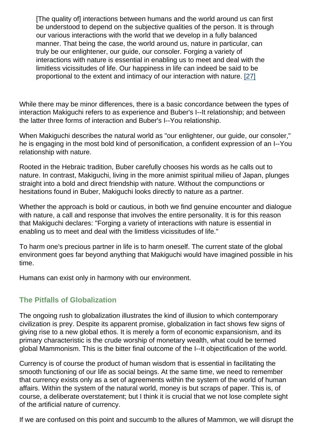[The quality of] interactions between humans and the world around us can first be understood to depend on the subjective qualities of the person. It is through our various interactions with the world that we develop in a fully balanced manner. That being the case, the world around us, nature in particular, can truly be our enlightener, our guide, our consoler. Forging a variety of interactions with nature is essential in enabling us to meet and deal with the limitless vicissitudes of life. Our happiness in life can indeed be said to be proportional to the extent and intimacy of our interaction with nature. [\[27\]](#page-30-11)

While there may be minor differences, there is a basic concordance between the types of interaction Makiguchi refers to as experience and Buber's I--It relationship; and between the latter three forms of interaction and Buber's I--You relationship.

When Makiguchi describes the natural world as "our enlightener, our guide, our consoler," he is engaging in the most bold kind of personification, a confident expression of an I--You relationship with nature.

Rooted in the Hebraic tradition, Buber carefully chooses his words as he calls out to nature. In contrast, Makiguchi, living in the more animist spiritual milieu of Japan, plunges straight into a bold and direct friendship with nature. Without the compunctions or hesitations found in Buber, Makiguchi looks directly to nature as a partner.

Whether the approach is bold or cautious, in both we find genuine encounter and dialogue with nature, a call and response that involves the entire personality. It is for this reason that Makiguchi declares: "Forging a variety of interactions with nature is essential in enabling us to meet and deal with the limitless vicissitudes of life."

To harm one's precious partner in life is to harm oneself. The current state of the global environment goes far beyond anything that Makiguchi would have imagined possible in his time.

Humans can exist only in harmony with our environment.

### **The Pitfalls of Globalization**

The ongoing rush to globalization illustrates the kind of illusion to which contemporary civilization is prey. Despite its apparent promise, globalization in fact shows few signs of giving rise to a new global ethos. It is merely a form of economic expansionism, and its primary characteristic is the crude worship of monetary wealth, what could be termed global Mammonism. This is the bitter final outcome of the I--It objectification of the world.

Currency is of course the product of human wisdom that is essential in facilitating the smooth functioning of our life as social beings. At the same time, we need to remember that currency exists only as a set of agreements within the system of the world of human affairs. Within the system of the natural world, money is but scraps of paper. This is, of course, a deliberate overstatement; but I think it is crucial that we not lose complete sight of the artificial nature of currency.

If we are confused on this point and succumb to the allures of Mammon, we will disrupt the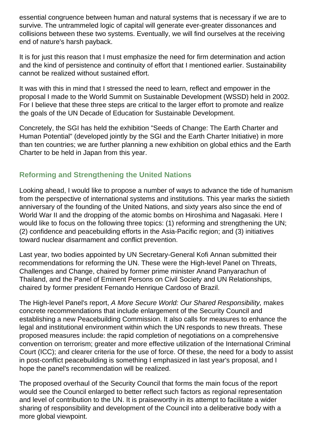essential congruence between human and natural systems that is necessary if we are to survive. The untrammeled logic of capital will generate ever-greater dissonances and collisions between these two systems. Eventually, we will find ourselves at the receiving end of nature's harsh payback.

It is for just this reason that I must emphasize the need for firm determination and action and the kind of persistence and continuity of effort that I mentioned earlier. Sustainability cannot be realized without sustained effort.

It was with this in mind that I stressed the need to learn, reflect and empower in the proposal I made to the World Summit on Sustainable Development (WSSD) held in 2002. For I believe that these three steps are critical to the larger effort to promote and realize the goals of the UN Decade of Education for Sustainable Development.

Concretely, the SGI has held the exhibition "Seeds of Change: The Earth Charter and Human Potential" (developed jointly by the SGI and the Earth Charter Initiative) in more than ten countries; we are further planning a new exhibition on global ethics and the Earth Charter to be held in Japan from this year.

### **Reforming and Strengthening the United Nations**

Looking ahead, I would like to propose a number of ways to advance the tide of humanism from the perspective of international systems and institutions. This year marks the sixtieth anniversary of the founding of the United Nations, and sixty years also since the end of World War II and the dropping of the atomic bombs on Hiroshima and Nagasaki. Here I would like to focus on the following three topics: (1) reforming and strengthening the UN; (2) confidence and peacebuilding efforts in the Asia-Pacific region; and (3) initiatives toward nuclear disarmament and conflict prevention.

Last year, two bodies appointed by UN Secretary-General Kofi Annan submitted their recommendations for reforming the UN. These were the High-level Panel on Threats, Challenges and Change, chaired by former prime minister Anand Panyarachun of Thailand, and the Panel of Eminent Persons on Civil Society and UN Relationships, chaired by former president Fernando Henrique Cardoso of Brazil.

The High-level Panel's report, *A More Secure World: Our Shared Responsibility,* makes concrete recommendations that include enlargement of the Security Council and establishing a new Peacebuilding Commission. It also calls for measures to enhance the legal and institutional environment within which the UN responds to new threats. These proposed measures include: the rapid completion of negotiations on a comprehensive convention on terrorism; greater and more effective utilization of the International Criminal Court (ICC); and clearer criteria for the use of force. Of these, the need for a body to assist in post-conflict peacebuilding is something I emphasized in last year's proposal, and I hope the panel's recommendation will be realized.

The proposed overhaul of the Security Council that forms the main focus of the report would see the Council enlarged to better reflect such factors as regional representation and level of contribution to the UN. It is praiseworthy in its attempt to facilitate a wider sharing of responsibility and development of the Council into a deliberative body with a more global viewpoint.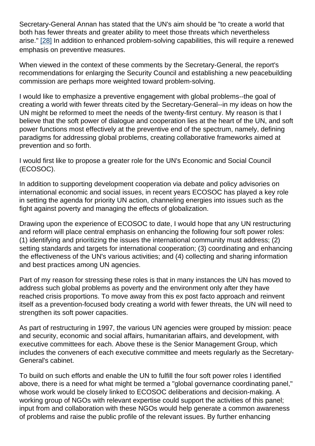Secretary-General Annan has stated that the UN's aim should be "to create a world that both has fewer threats and greater ability to meet those threats which nevertheless arise." [\[28\]](#page-30-12) In addition to enhanced problem-solving capabilities, this will require a renewed emphasis on preventive measures.

When viewed in the context of these comments by the Secretary-General, the report's recommendations for enlarging the Security Council and establishing a new peacebuilding commission are perhaps more weighted toward problem-solving.

I would like to emphasize a preventive engagement with global problems--the goal of creating a world with fewer threats cited by the Secretary-General--in my ideas on how the UN might be reformed to meet the needs of the twenty-first century. My reason is that I believe that the soft power of dialogue and cooperation lies at the heart of the UN, and soft power functions most effectively at the preventive end of the spectrum, namely, defining paradigms for addressing global problems, creating collaborative frameworks aimed at prevention and so forth.

I would first like to propose a greater role for the UN's Economic and Social Council (ECOSOC).

In addition to supporting development cooperation via debate and policy advisories on international economic and social issues, in recent years ECOSOC has played a key role in setting the agenda for priority UN action, channeling energies into issues such as the fight against poverty and managing the effects of globalization.

Drawing upon the experience of ECOSOC to date, I would hope that any UN restructuring and reform will place central emphasis on enhancing the following four soft power roles: (1) identifying and prioritizing the issues the international community must address; (2) setting standards and targets for international cooperation; (3) coordinating and enhancing the effectiveness of the UN's various activities; and (4) collecting and sharing information and best practices among UN agencies.

Part of my reason for stressing these roles is that in many instances the UN has moved to address such global problems as poverty and the environment only after they have reached crisis proportions. To move away from this ex post facto approach and reinvent itself as a prevention-focused body creating a world with fewer threats, the UN will need to strengthen its soft power capacities.

As part of restructuring in 1997, the various UN agencies were grouped by mission: peace and security, economic and social affairs, humanitarian affairs, and development, with executive committees for each. Above these is the Senior Management Group, which includes the conveners of each executive committee and meets regularly as the Secretary-General's cabinet.

To build on such efforts and enable the UN to fulfill the four soft power roles I identified above, there is a need for what might be termed a "global governance coordinating panel," whose work would be closely linked to ECOSOC deliberations and decision-making. A working group of NGOs with relevant expertise could support the activities of this panel; input from and collaboration with these NGOs would help generate a common awareness of problems and raise the public profile of the relevant issues. By further enhancing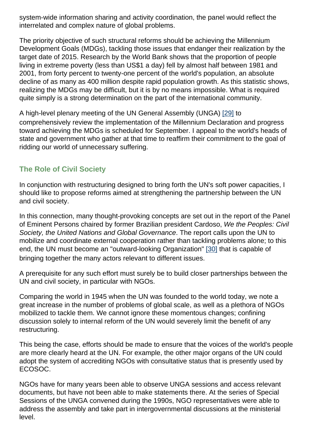system-wide information sharing and activity coordination, the panel would reflect the interrelated and complex nature of global problems.

The priority objective of such structural reforms should be achieving the Millennium Development Goals (MDGs), tackling those issues that endanger their realization by the target date of 2015. Research by the World Bank shows that the proportion of people living in extreme poverty (less than US\$1 a day) fell by almost half between 1981 and 2001, from forty percent to twenty-one percent of the world's population, an absolute decline of as many as 400 million despite rapid population growth. As this statistic shows, realizing the MDGs may be difficult, but it is by no means impossible. What is required quite simply is a strong determination on the part of the international community.

A high-level plenary meeting of the UN General Assembly (UNGA) [\[29\]](#page-30-13) to comprehensively review the implementation of the Millennium Declaration and progress toward achieving the MDGs is scheduled for September. I appeal to the world's heads of state and government who gather at that time to reaffirm their commitment to the goal of ridding our world of unnecessary suffering.

### **The Role of Civil Society**

In conjunction with restructuring designed to bring forth the UN's soft power capacities, I should like to propose reforms aimed at strengthening the partnership between the UN and civil society.

In this connection, many thought-provoking concepts are set out in the report of the Panel of Eminent Persons chaired by former Brazilian president Cardoso, *We the Peoples: Civil Society, the United Nations and Global Governance*. The report calls upon the UN to mobilize and coordinate external cooperation rather than tackling problems alone; to this end, the UN must become an "outward-looking Organization" [\[30\]](#page-30-14) that is capable of bringing together the many actors relevant to different issues.

A prerequisite for any such effort must surely be to build closer partnerships between the UN and civil society, in particular with NGOs.

Comparing the world in 1945 when the UN was founded to the world today, we note a great increase in the number of problems of global scale, as well as a plethora of NGOs mobilized to tackle them. We cannot ignore these momentous changes; confining discussion solely to internal reform of the UN would severely limit the benefit of any restructuring.

This being the case, efforts should be made to ensure that the voices of the world's people are more clearly heard at the UN. For example, the other major organs of the UN could adopt the system of accrediting NGOs with consultative status that is presently used by ECOSOC.

NGOs have for many years been able to observe UNGA sessions and access relevant documents, but have not been able to make statements there. At the series of Special Sessions of the UNGA convened during the 1990s, NGO representatives were able to address the assembly and take part in intergovernmental discussions at the ministerial level.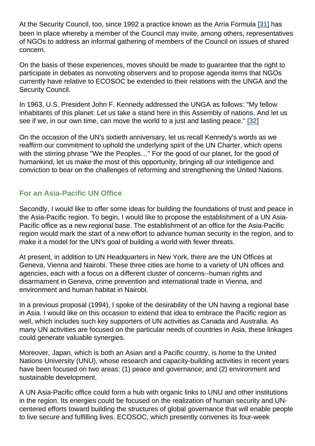At the Security Council, too, since 1992 a practice known as the Arria Formula [\[31\]](#page-30-15) has been in place whereby a member of the Council may invite, among others, representatives of NGOs to address an informal gathering of members of the Council on issues of shared concern.

On the basis of these experiences, moves should be made to guarantee that the right to participate in debates as nonvoting observers and to propose agenda items that NGOs currently have relative to ECOSOC be extended to their relations with the UNGA and the Security Council.

In 1963, U.S. President John F. Kennedy addressed the UNGA as follows: "My fellow inhabitants of this planet: Let us take a stand here in this Assembly of nations. And let us see if we, in our own time, can move the world to a just and lasting peace." [\[32\]](#page-30-16)

On the occasion of the UN's sixtieth anniversary, let us recall Kennedy's words as we reaffirm our commitment to uphold the underlying spirit of the UN Charter, which opens with the stirring phrase "We the Peoples…" For the good of our planet, for the good of humankind, let us make the most of this opportunity, bringing all our intelligence and conviction to bear on the challenges of reforming and strengthening the United Nations.

### **For an Asia-Pacific UN Office**

Secondly, I would like to offer some ideas for building the foundations of trust and peace in the Asia-Pacific region. To begin, I would like to propose the establishment of a UN Asia-Pacific office as a new regional base. The establishment of an office for the Asia-Pacific region would mark the start of a new effort to advance human security in the region, and to make it a model for the UN's goal of building a world with fewer threats.

At present, in addition to UN Headquarters in New York, there are the UN Offices at Geneva, Vienna and Nairobi. These three cities are home to a variety of UN offices and agencies, each with a focus on a different cluster of concerns--human rights and disarmament in Geneva, crime prevention and international trade in Vienna, and environment and human habitat in Nairobi.

In a previous proposal (1994), I spoke of the desirability of the UN having a regional base in Asia. I would like on this occasion to extend that idea to embrace the Pacific region as well, which includes such key supporters of UN activities as Canada and Australia. As many UN activities are focused on the particular needs of countries in Asia, these linkages could generate valuable synergies.

Moreover, Japan, which is both an Asian and a Pacific country, is home to the United Nations University (UNU), whose research and capacity-building activities in recent years have been focused on two areas: (1) peace and governance; and (2) environment and sustainable development.

A UN Asia-Pacific office could form a hub with organic links to UNU and other institutions in the region. Its energies could be focused on the realization of human security and UNcentered efforts toward building the structures of global governance that will enable people to live secure and fulfilling lives. ECOSOC, which presently convenes its four-week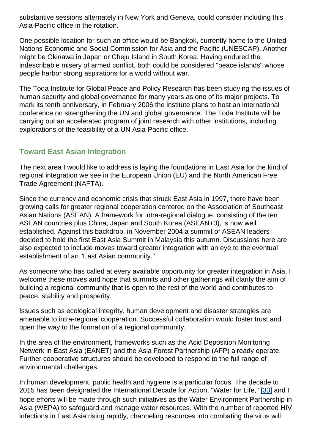substantive sessions alternately in New York and Geneva, could consider including this Asia-Pacific office in the rotation.

One possible location for such an office would be Bangkok, currently home to the United Nations Economic and Social Commission for Asia and the Pacific (UNESCAP). Another might be Okinawa in Japan or Cheju Island in South Korea. Having endured the indescribable misery of armed conflict, both could be considered "peace islands" whose people harbor strong aspirations for a world without war.

The Toda Institute for Global Peace and Policy Research has been studying the issues of human security and global governance for many years as one of its major projects. To mark its tenth anniversary, in February 2006 the institute plans to host an international conference on strengthening the UN and global governance. The Toda Institute will be carrying out an accelerated program of joint research with other institutions, including explorations of the feasibility of a UN Asia-Pacific office.

### **Toward East Asian Integration**

The next area I would like to address is laying the foundations in East Asia for the kind of regional integration we see in the European Union (EU) and the North American Free Trade Agreement (NAFTA).

Since the currency and economic crisis that struck East Asia in 1997, there have been growing calls for greater regional cooperation centered on the Association of Southeast Asian Nations (ASEAN). A framework for intra-regional dialogue, consisting of the ten ASEAN countries plus China, Japan and South Korea (ASEAN+3), is now well established. Against this backdrop, in November 2004 a summit of ASEAN leaders decided to hold the first East Asia Summit in Malaysia this autumn. Discussions here are also expected to include moves toward greater integration with an eye to the eventual establishment of an "East Asian community."

As someone who has called at every available opportunity for greater integration in Asia, I welcome these moves and hope that summits and other gatherings will clarify the aim of building a regional community that is open to the rest of the world and contributes to peace, stability and prosperity.

Issues such as ecological integrity, human development and disaster strategies are amenable to intra-regional cooperation. Successful collaboration would foster trust and open the way to the formation of a regional community.

In the area of the environment, frameworks such as the Acid Deposition Monitoring Network in East Asia (EANET) and the Asia Forest Partnership (AFP) already operate. Further cooperative structures should be developed to respond to the full range of environmental challenges.

In human development, public health and hygiene is a particular focus. The decade to 2015 has been designated the International Decade for Action, "Water for Life," [\[33\]](#page-30-17) and I hope efforts will be made through such initiatives as the Water Environment Partnership in Asia (WEPA) to safeguard and manage water resources. With the number of reported HIV infections in East Asia rising rapidly, channeling resources into combating the virus will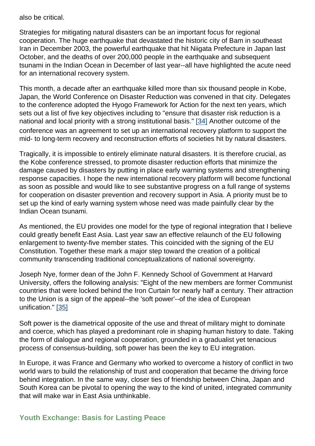also be critical.

Strategies for mitigating natural disasters can be an important focus for regional cooperation. The huge earthquake that devastated the historic city of Bam in southeast Iran in December 2003, the powerful earthquake that hit Niigata Prefecture in Japan last October, and the deaths of over 200,000 people in the earthquake and subsequent tsunami in the Indian Ocean in December of last year--all have highlighted the acute need for an international recovery system.

This month, a decade after an earthquake killed more than six thousand people in Kobe, Japan, the World Conference on Disaster Reduction was convened in that city. Delegates to the conference adopted the Hyogo Framework for Action for the next ten years, which sets out a list of five key objectives including to "ensure that disaster risk reduction is a national and local priority with a strong institutional basis." [\[34\]](#page-30-18) Another outcome of the conference was an agreement to set up an international recovery platform to support the mid- to long-term recovery and reconstruction efforts of societies hit by natural disasters.

Tragically, it is impossible to entirely eliminate natural disasters. It is therefore crucial, as the Kobe conference stressed, to promote disaster reduction efforts that minimize the damage caused by disasters by putting in place early warning systems and strengthening response capacities. I hope the new international recovery platform will become functional as soon as possible and would like to see substantive progress on a full range of systems for cooperation on disaster prevention and recovery support in Asia. A priority must be to set up the kind of early warning system whose need was made painfully clear by the Indian Ocean tsunami.

As mentioned, the EU provides one model for the type of regional integration that I believe could greatly benefit East Asia. Last year saw an effective relaunch of the EU following enlargement to twenty-five member states. This coincided with the signing of the EU Constitution. Together these mark a major step toward the creation of a political community transcending traditional conceptualizations of national sovereignty.

Joseph Nye, former dean of the John F. Kennedy School of Government at Harvard University, offers the following analysis: "Eight of the new members are former Communist countries that were locked behind the Iron Curtain for nearly half a century. Their attraction to the Union is a sign of the appeal--the 'soft power'--of the idea of European unification." [\[35\]](#page-30-19)

Soft power is the diametrical opposite of the use and threat of military might to dominate and coerce, which has played a predominant role in shaping human history to date. Taking the form of dialogue and regional cooperation, grounded in a gradualist yet tenacious process of consensus-building, soft power has been the key to EU integration.

In Europe, it was France and Germany who worked to overcome a history of conflict in two world wars to build the relationship of trust and cooperation that became the driving force behind integration. In the same way, closer ties of friendship between China, Japan and South Korea can be pivotal to opening the way to the kind of united, integrated community that will make war in East Asia unthinkable.

#### **Youth Exchange: Basis for Lasting Peace**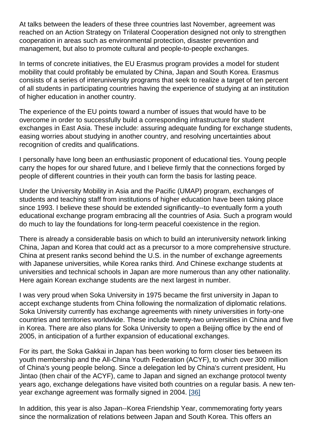At talks between the leaders of these three countries last November, agreement was reached on an Action Strategy on Trilateral Cooperation designed not only to strengthen cooperation in areas such as environmental protection, disaster prevention and management, but also to promote cultural and people-to-people exchanges.

In terms of concrete initiatives, the EU Erasmus program provides a model for student mobility that could profitably be emulated by China, Japan and South Korea. Erasmus consists of a series of interuniversity programs that seek to realize a target of ten percent of all students in participating countries having the experience of studying at an institution of higher education in another country.

The experience of the EU points toward a number of issues that would have to be overcome in order to successfully build a corresponding infrastructure for student exchanges in East Asia. These include: assuring adequate funding for exchange students, easing worries about studying in another country, and resolving uncertainties about recognition of credits and qualifications.

I personally have long been an enthusiastic proponent of educational ties. Young people carry the hopes for our shared future, and I believe firmly that the connections forged by people of different countries in their youth can form the basis for lasting peace.

Under the University Mobility in Asia and the Pacific (UMAP) program, exchanges of students and teaching staff from institutions of higher education have been taking place since 1993. I believe these should be extended significantly--to eventually form a youth educational exchange program embracing all the countries of Asia. Such a program would do much to lay the foundations for long-term peaceful coexistence in the region.

There is already a considerable basis on which to build an interuniversity network linking China, Japan and Korea that could act as a precursor to a more comprehensive structure. China at present ranks second behind the U.S. in the number of exchange agreements with Japanese universities, while Korea ranks third. And Chinese exchange students at universities and technical schools in Japan are more numerous than any other nationality. Here again Korean exchange students are the next largest in number.

I was very proud when Soka University in 1975 became the first university in Japan to accept exchange students from China following the normalization of diplomatic relations. Soka University currently has exchange agreements with ninety universities in forty-one countries and territories worldwide. These include twenty-two universities in China and five in Korea. There are also plans for Soka University to open a Beijing office by the end of 2005, in anticipation of a further expansion of educational exchanges.

For its part, the Soka Gakkai in Japan has been working to form closer ties between its youth membership and the All-China Youth Federation (ACYF), to which over 300 million of China's young people belong. Since a delegation led by China's current president, Hu Jintao (then chair of the ACYF), came to Japan and signed an exchange protocol twenty years ago, exchange delegations have visited both countries on a regular basis. A new tenyear exchange agreement was formally signed in 2004. [\[36\]](#page-30-20)

In addition, this year is also Japan--Korea Friendship Year, commemorating forty years since the normalization of relations between Japan and South Korea. This offers an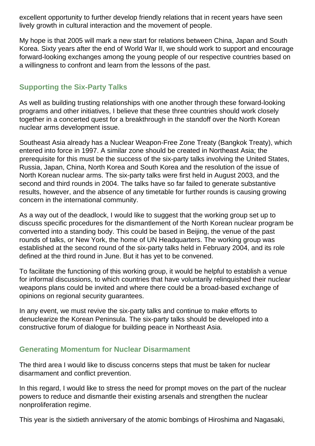excellent opportunity to further develop friendly relations that in recent years have seen lively growth in cultural interaction and the movement of people.

My hope is that 2005 will mark a new start for relations between China, Japan and South Korea. Sixty years after the end of World War II, we should work to support and encourage forward-looking exchanges among the young people of our respective countries based on a willingness to confront and learn from the lessons of the past.

### **Supporting the Six-Party Talks**

As well as building trusting relationships with one another through these forward-looking programs and other initiatives, I believe that these three countries should work closely together in a concerted quest for a breakthrough in the standoff over the North Korean nuclear arms development issue.

Southeast Asia already has a Nuclear Weapon-Free Zone Treaty (Bangkok Treaty), which entered into force in 1997. A similar zone should be created in Northeast Asia; the prerequisite for this must be the success of the six-party talks involving the United States, Russia, Japan, China, North Korea and South Korea and the resolution of the issue of North Korean nuclear arms. The six-party talks were first held in August 2003, and the second and third rounds in 2004. The talks have so far failed to generate substantive results, however, and the absence of any timetable for further rounds is causing growing concern in the international community.

As a way out of the deadlock, I would like to suggest that the working group set up to discuss specific procedures for the dismantlement of the North Korean nuclear program be converted into a standing body. This could be based in Beijing, the venue of the past rounds of talks, or New York, the home of UN Headquarters. The working group was established at the second round of the six-party talks held in February 2004, and its role defined at the third round in June. But it has yet to be convened.

To facilitate the functioning of this working group, it would be helpful to establish a venue for informal discussions, to which countries that have voluntarily relinquished their nuclear weapons plans could be invited and where there could be a broad-based exchange of opinions on regional security guarantees.

In any event, we must revive the six-party talks and continue to make efforts to denuclearize the Korean Peninsula. The six-party talks should be developed into a constructive forum of dialogue for building peace in Northeast Asia.

#### **Generating Momentum for Nuclear Disarmament**

The third area I would like to discuss concerns steps that must be taken for nuclear disarmament and conflict prevention.

In this regard, I would like to stress the need for prompt moves on the part of the nuclear powers to reduce and dismantle their existing arsenals and strengthen the nuclear nonproliferation regime.

This year is the sixtieth anniversary of the atomic bombings of Hiroshima and Nagasaki,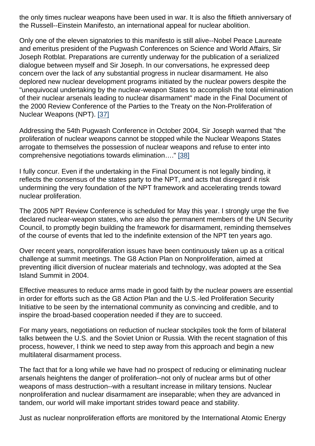the only times nuclear weapons have been used in war. It is also the fiftieth anniversary of the Russell--Einstein Manifesto, an international appeal for nuclear abolition.

Only one of the eleven signatories to this manifesto is still alive--Nobel Peace Laureate and emeritus president of the Pugwash Conferences on Science and World Affairs, Sir Joseph Rotblat. Preparations are currently underway for the publication of a serialized dialogue between myself and Sir Joseph. In our conversations, he expressed deep concern over the lack of any substantial progress in nuclear disarmament. He also deplored new nuclear development programs initiated by the nuclear powers despite the "unequivocal undertaking by the nuclear-weapon States to accomplish the total elimination of their nuclear arsenals leading to nuclear disarmament" made in the Final Document of the 2000 Review Conference of the Parties to the Treaty on the Non-Proliferation of Nuclear Weapons (NPT). [\[37\]](#page-30-21)

Addressing the 54th Pugwash Conference in October 2004, Sir Joseph warned that "the proliferation of nuclear weapons cannot be stopped while the Nuclear Weapons States arrogate to themselves the possession of nuclear weapons and refuse to enter into comprehensive negotiations towards elimination…." [\[38\]](#page-30-22)

I fully concur. Even if the undertaking in the Final Document is not legally binding, it reflects the consensus of the states party to the NPT, and acts that disregard it risk undermining the very foundation of the NPT framework and accelerating trends toward nuclear proliferation.

The 2005 NPT Review Conference is scheduled for May this year. I strongly urge the five declared nuclear-weapon states, who are also the permanent members of the UN Security Council, to promptly begin building the framework for disarmament, reminding themselves of the course of events that led to the indefinite extension of the NPT ten years ago.

Over recent years, nonproliferation issues have been continuously taken up as a critical challenge at summit meetings. The G8 Action Plan on Nonproliferation, aimed at preventing illicit diversion of nuclear materials and technology, was adopted at the Sea Island Summit in 2004.

Effective measures to reduce arms made in good faith by the nuclear powers are essential in order for efforts such as the G8 Action Plan and the U.S.-led Proliferation Security Initiative to be seen by the international community as convincing and credible, and to inspire the broad-based cooperation needed if they are to succeed.

For many years, negotiations on reduction of nuclear stockpiles took the form of bilateral talks between the U.S. and the Soviet Union or Russia. With the recent stagnation of this process, however, I think we need to step away from this approach and begin a new multilateral disarmament process.

The fact that for a long while we have had no prospect of reducing or eliminating nuclear arsenals heightens the danger of proliferation--not only of nuclear arms but of other weapons of mass destruction--with a resultant increase in military tensions. Nuclear nonproliferation and nuclear disarmament are inseparable; when they are advanced in tandem, our world will make important strides toward peace and stability.

Just as nuclear nonproliferation efforts are monitored by the International Atomic Energy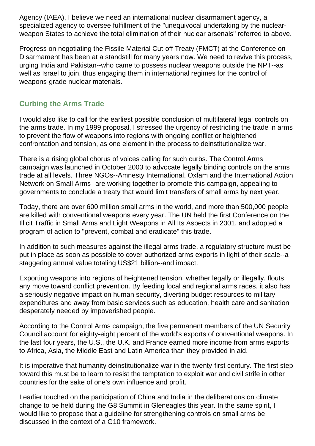Agency (IAEA), I believe we need an international nuclear disarmament agency, a specialized agency to oversee fulfillment of the "unequivocal undertaking by the nuclearweapon States to achieve the total elimination of their nuclear arsenals" referred to above.

Progress on negotiating the Fissile Material Cut-off Treaty (FMCT) at the Conference on Disarmament has been at a standstill for many years now. We need to revive this process, urging India and Pakistan--who came to possess nuclear weapons outside the NPT--as well as Israel to join, thus engaging them in international regimes for the control of weapons-grade nuclear materials.

### **Curbing the Arms Trade**

I would also like to call for the earliest possible conclusion of multilateral legal controls on the arms trade. In my 1999 proposal, I stressed the urgency of restricting the trade in arms to prevent the flow of weapons into regions with ongoing conflict or heightened confrontation and tension, as one element in the process to deinstitutionalize war.

There is a rising global chorus of voices calling for such curbs. The Control Arms campaign was launched in October 2003 to advocate legally binding controls on the arms trade at all levels. Three NGOs--Amnesty International, Oxfam and the International Action Network on Small Arms--are working together to promote this campaign, appealing to governments to conclude a treaty that would limit transfers of small arms by next year.

Today, there are over 600 million small arms in the world, and more than 500,000 people are killed with conventional weapons every year. The UN held the first Conference on the Illicit Traffic in Small Arms and Light Weapons in All Its Aspects in 2001, and adopted a program of action to "prevent, combat and eradicate" this trade.

In addition to such measures against the illegal arms trade, a regulatory structure must be put in place as soon as possible to cover authorized arms exports in light of their scale--a staggering annual value totaling US\$21 billion--and impact.

Exporting weapons into regions of heightened tension, whether legally or illegally, flouts any move toward conflict prevention. By feeding local and regional arms races, it also has a seriously negative impact on human security, diverting budget resources to military expenditures and away from basic services such as education, health care and sanitation desperately needed by impoverished people.

According to the Control Arms campaign, the five permanent members of the UN Security Council account for eighty-eight percent of the world's exports of conventional weapons. In the last four years, the U.S., the U.K. and France earned more income from arms exports to Africa, Asia, the Middle East and Latin America than they provided in aid.

It is imperative that humanity deinstitutionalize war in the twenty-first century. The first step toward this must be to learn to resist the temptation to exploit war and civil strife in other countries for the sake of one's own influence and profit.

I earlier touched on the participation of China and India in the deliberations on climate change to be held during the G8 Summit in Gleneagles this year. In the same spirit, I would like to propose that a guideline for strengthening controls on small arms be discussed in the context of a G10 framework.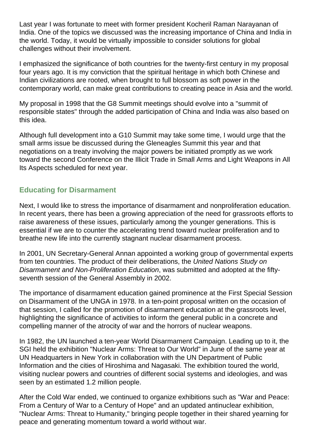Last year I was fortunate to meet with former president Kocheril Raman Narayanan of India. One of the topics we discussed was the increasing importance of China and India in the world. Today, it would be virtually impossible to consider solutions for global challenges without their involvement.

I emphasized the significance of both countries for the twenty-first century in my proposal four years ago. It is my conviction that the spiritual heritage in which both Chinese and Indian civilizations are rooted, when brought to full blossom as soft power in the contemporary world, can make great contributions to creating peace in Asia and the world.

My proposal in 1998 that the G8 Summit meetings should evolve into a "summit of responsible states" through the added participation of China and India was also based on this idea.

Although full development into a G10 Summit may take some time, I would urge that the small arms issue be discussed during the Gleneagles Summit this year and that negotiations on a treaty involving the major powers be initiated promptly as we work toward the second Conference on the Illicit Trade in Small Arms and Light Weapons in All Its Aspects scheduled for next year.

# **Educating for Disarmament**

Next, I would like to stress the importance of disarmament and nonproliferation education. In recent years, there has been a growing appreciation of the need for grassroots efforts to raise awareness of these issues, particularly among the younger generations. This is essential if we are to counter the accelerating trend toward nuclear proliferation and to breathe new life into the currently stagnant nuclear disarmament process.

In 2001, UN Secretary-General Annan appointed a working group of governmental experts from ten countries. The product of their deliberations, the *United Nations Study on Disarmament and Non-Proliferation Education*, was submitted and adopted at the fiftyseventh session of the General Assembly in 2002.

The importance of disarmament education gained prominence at the First Special Session on Disarmament of the UNGA in 1978. In a ten-point proposal written on the occasion of that session, I called for the promotion of disarmament education at the grassroots level, highlighting the significance of activities to inform the general public in a concrete and compelling manner of the atrocity of war and the horrors of nuclear weapons.

In 1982, the UN launched a ten-year World Disarmament Campaign. Leading up to it, the SGI held the exhibition "Nuclear Arms: Threat to Our World" in June of the same year at UN Headquarters in New York in collaboration with the UN Department of Public Information and the cities of Hiroshima and Nagasaki. The exhibition toured the world, visiting nuclear powers and countries of different social systems and ideologies, and was seen by an estimated 1.2 million people.

After the Cold War ended, we continued to organize exhibitions such as "War and Peace: From a Century of War to a Century of Hope" and an updated antinuclear exhibition, "Nuclear Arms: Threat to Humanity," bringing people together in their shared yearning for peace and generating momentum toward a world without war.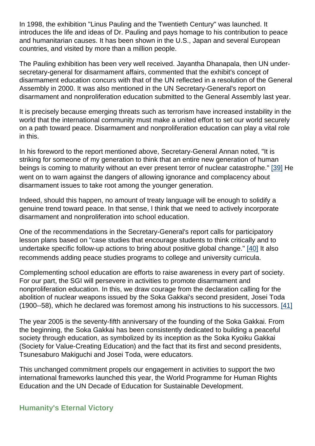In 1998, the exhibition "Linus Pauling and the Twentieth Century" was launched. It introduces the life and ideas of Dr. Pauling and pays homage to his contribution to peace and humanitarian causes. It has been shown in the U.S., Japan and several European countries, and visited by more than a million people.

The Pauling exhibition has been very well received. Jayantha Dhanapala, then UN undersecretary-general for disarmament affairs, commented that the exhibit's concept of disarmament education concurs with that of the UN reflected in a resolution of the General Assembly in 2000. It was also mentioned in the UN Secretary-General's report on disarmament and nonproliferation education submitted to the General Assembly last year.

It is precisely because emerging threats such as terrorism have increased instability in the world that the international community must make a united effort to set our world securely on a path toward peace. Disarmament and nonproliferation education can play a vital role in this.

In his foreword to the report mentioned above, Secretary-General Annan noted, "It is striking for someone of my generation to think that an entire new generation of human beings is coming to maturity without an ever present terror of nuclear catastrophe." [\[39\]](#page-30-23) He went on to warn against the dangers of allowing ignorance and complacency about disarmament issues to take root among the younger generation.

Indeed, should this happen, no amount of treaty language will be enough to solidify a genuine trend toward peace. In that sense, I think that we need to actively incorporate disarmament and nonproliferation into school education.

One of the recommendations in the Secretary-General's report calls for participatory lesson plans based on "case studies that encourage students to think critically and to undertake specific follow-up actions to bring about positive global change." [\[40\]](#page-30-24) It also recommends adding peace studies programs to college and university curricula.

Complementing school education are efforts to raise awareness in every part of society. For our part, the SGI will persevere in activities to promote disarmament and nonproliferation education. In this, we draw courage from the declaration calling for the abolition of nuclear weapons issued by the Soka Gakkai's second president, Josei Toda (1900--58), which he declared was foremost among his instructions to his successors. [\[41\]](#page-30-25)

The year 2005 is the seventy-fifth anniversary of the founding of the Soka Gakkai. From the beginning, the Soka Gakkai has been consistently dedicated to building a peaceful society through education, as symbolized by its inception as the Soka Kyoiku Gakkai (Society for Value-Creating Education) and the fact that its first and second presidents, Tsunesaburo Makiguchi and Josei Toda, were educators.

This unchanged commitment propels our engagement in activities to support the two international frameworks launched this year, the World Programme for Human Rights Education and the UN Decade of Education for Sustainable Development.

#### **Humanity's Eternal Victory**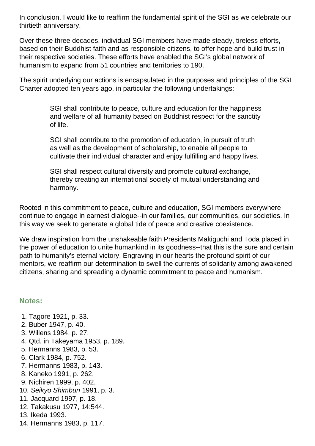In conclusion, I would like to reaffirm the fundamental spirit of the SGI as we celebrate our thirtieth anniversary.

Over these three decades, individual SGI members have made steady, tireless efforts, based on their Buddhist faith and as responsible citizens, to offer hope and build trust in their respective societies. These efforts have enabled the SGI's global network of humanism to expand from 51 countries and territories to 190.

The spirit underlying our actions is encapsulated in the purposes and principles of the SGI Charter adopted ten years ago, in particular the following undertakings:

> SGI shall contribute to peace, culture and education for the happiness and welfare of all humanity based on Buddhist respect for the sanctity of life.

SGI shall contribute to the promotion of education, in pursuit of truth as well as the development of scholarship, to enable all people to cultivate their individual character and enjoy fulfilling and happy lives.

SGI shall respect cultural diversity and promote cultural exchange, thereby creating an international society of mutual understanding and harmony.

Rooted in this commitment to peace, culture and education, SGI members everywhere continue to engage in earnest dialogue--in our families, our communities, our societies. In this way we seek to generate a global tide of peace and creative coexistence.

We draw inspiration from the unshakeable faith Presidents Makiguchi and Toda placed in the power of education to unite humankind in its goodness--that this is the sure and certain path to humanity's eternal victory. Engraving in our hearts the profound spirit of our mentors, we reaffirm our determination to swell the currents of solidarity among awakened citizens, sharing and spreading a dynamic commitment to peace and humanism.

#### **Notes:**

- 1. Tagore 1921, p. 33.
- <span id="page-29-0"></span>2. Buber 1947, p. 40.
- <span id="page-29-1"></span>3. Willens 1984, p. 27.
- <span id="page-29-2"></span>4. Qtd. in Takeyama 1953, p. 189.
- 5. Hermanns 1983, p. 53.
- <span id="page-29-3"></span>6. Clark 1984, p. 752.
- <span id="page-29-4"></span>7. Hermanns 1983, p. 143.
- <span id="page-29-5"></span>8. Kaneko 1991, p. 262.
- 9. Nichiren 1999, p. 402.
- <span id="page-29-6"></span>10. *Seikyo Shimbun* 1991, p. 3.
- <span id="page-29-7"></span>11. Jacquard 1997, p. 18.
- <span id="page-29-8"></span>12. Takakusu 1977, 14:544.
- <span id="page-29-9"></span>13. Ikeda 1993.
- <span id="page-29-11"></span><span id="page-29-10"></span>14. Hermanns 1983, p. 117.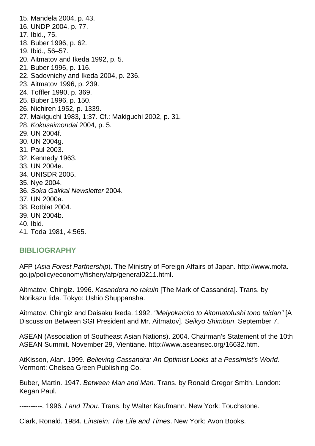<span id="page-30-13"></span><span id="page-30-12"></span><span id="page-30-11"></span><span id="page-30-10"></span><span id="page-30-9"></span><span id="page-30-8"></span><span id="page-30-7"></span><span id="page-30-6"></span><span id="page-30-5"></span><span id="page-30-4"></span><span id="page-30-3"></span><span id="page-30-2"></span><span id="page-30-1"></span><span id="page-30-0"></span>15. Mandela 2004, p. 43. 16. UNDP 2004, p. 77. 17. Ibid., 75. 18. Buber 1996, p. 62. 19. Ibid., 56–57. 20. Aitmatov and Ikeda 1992, p. 5. 21. Buber 1996, p. 116. 22. Sadovnichy and Ikeda 2004, p. 236. 23. Aitmatov 1996, p. 239. 24. Toffler 1990, p. 369. 25. Buber 1996, p. 150. 26. Nichiren 1952, p. 1339. 27. Makiguchi 1983, 1:37. Cf.: Makiguchi 2002, p. 31. 28. *Kokusaimondai* 2004, p. 5. 29. UN 2004f. 30. UN 2004g. 31. Paul 2003. 32. Kennedy 1963. 33. UN 2004e. 34. UNISDR 2005. 35. Nye 2004. 36. *Soka Gakkai Newsletter* 2004. 37. UN 2000a. 38. Rotblat 2004. 39. UN 2004b. 40. Ibid. 41. Toda 1981, 4:565.

#### <span id="page-30-25"></span><span id="page-30-24"></span><span id="page-30-23"></span><span id="page-30-22"></span><span id="page-30-21"></span><span id="page-30-20"></span><span id="page-30-19"></span><span id="page-30-18"></span><span id="page-30-17"></span><span id="page-30-16"></span><span id="page-30-15"></span><span id="page-30-14"></span>**BIBLIOGRAPHY**

AFP (*Asia Forest Partnership*). The Ministry of Foreign Affairs of Japan. http://www.mofa. go.jp/policy/economy/fishery/afp/general0211.html.

Aitmatov, Chingiz. 1996. *Kasandora no rakuin* [The Mark of Cassandra]. Trans. by Norikazu Iida. Tokyo: Ushio Shuppansha.

Aitmatov, Chingiz and Daisaku Ikeda. 1992. *"Meiyokaicho to Aitomatofushi tono taidan"* [A Discussion Between SGI President and Mr. Aitmatov]. *Seikyo Shimbun*. September 7.

ASEAN (Association of Southeast Asian Nations). 2004. Chairman's Statement of the 10th ASEAN Summit. November 29, Vientiane. http://www.aseansec.org/16632.htm.

AtKisson, Alan. 1999. *Believing Cassandra: An Optimist Looks at a Pessimist's World.* Vermont: Chelsea Green Publishing Co.

Buber, Martin. 1947. *Between Man and Man.* Trans. by Ronald Gregor Smith. London: Kegan Paul.

----------. 1996. *I and Thou*. Trans. by Walter Kaufmann. New York: Touchstone.

Clark, Ronald. 1984. *Einstein: The Life and Times*. New York: Avon Books.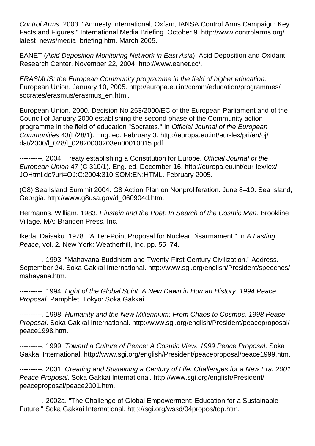*Control Arms.* 2003. "Amnesty International, Oxfam, IANSA Control Arms Campaign: Key Facts and Figures." International Media Briefing. October 9. http://www.controlarms.org/ latest\_news/media\_briefing.htm. March 2005.

EANET (*Acid Deposition Monitoring Network in East Asia*). Acid Deposition and Oxidant Research Center. November 22, 2004. http://www.eanet.cc/.

*ERASMUS: the European Community programme in the field of higher education.* European Union. January 10, 2005. http://europa.eu.int/comm/education/programmes/ socrates/erasmus/erasmus\_en.html.

European Union. 2000. Decision No 253/2000/EC of the European Parliament and of the Council of January 2000 establishing the second phase of the Community action programme in the field of education "Socrates." In *Official Journal of the European Communities* 43(L/28/1). Eng. ed. February 3. http://europa.eu.int/eur-lex/pri/en/oj/ dat/2000/l\_028/l\_02820000203en00010015.pdf.

----------. 2004. Treaty establishing a Constitution for Europe. *Official Journal of the European Union* 47 (C 310/1). Eng. ed. December 16. http://europa.eu.int/eur-lex/lex/ JOHtml.do?uri=OJ:C:2004:310:SOM:EN:HTML. February 2005.

(G8) Sea Island Summit 2004. G8 Action Plan on Nonproliferation. June 8–10. Sea Island, Georgia. http://www.g8usa.gov/d\_060904d.htm.

Hermanns, William. 1983. *Einstein and the Poet: In Search of the Cosmic Man*. Brookline Village, MA: Branden Press, Inc.

Ikeda, Daisaku. 1978. "A Ten-Point Proposal for Nuclear Disarmament." In *A Lasting Peace*, vol. 2. New York: Weatherhill, Inc. pp. 55–74.

----------. 1993. "Mahayana Buddhism and Twenty-First-Century Civilization." Address. September 24. Soka Gakkai International. http://www.sgi.org/english/President/speeches/ mahayana.htm.

----------. 1994. *Light of the Global Spirit: A New Dawn in Human History. 1994 Peace Proposal*. Pamphlet. Tokyo: Soka Gakkai.

----------. 1998. *Humanity and the New Millennium: From Chaos to Cosmos. 1998 Peace Proposal*. Soka Gakkai International. http://www.sgi.org/english/President/peaceproposal/ peace1998.htm.

----------. 1999. *Toward a Culture of Peace: A Cosmic View. 1999 Peace Proposal*. Soka Gakkai International. http://www.sgi.org/english/President/peaceproposal/peace1999.htm.

----------. 2001. *Creating and Sustaining a Century of Life: Challenges for a New Era. 2001 Peace Proposal*. Soka Gakkai International. http://www.sgi.org/english/President/ peaceproposal/peace2001.htm.

----------. 2002a. "The Challenge of Global Empowerment: Education for a Sustainable Future." Soka Gakkai International. http://sgi.org/wssd/04propos/top.htm.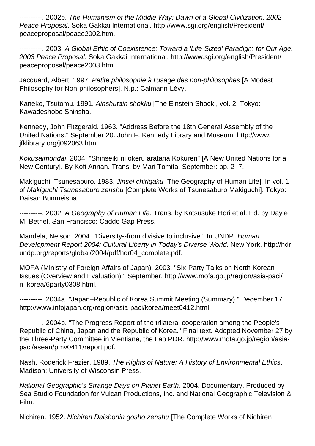----------. 2002b. *The Humanism of the Middle Way: Dawn of a Global Civilization. 2002 Peace Proposal*. Soka Gakkai International. http://www.sgi.org/english/President/ peaceproposal/peace2002.htm.

----------. 2003. *A Global Ethic of Coexistence: Toward a 'Life-Sized' Paradigm for Our Age. 2003 Peace Proposal*. Soka Gakkai International. http://www.sgi.org/english/President/ peaceproposal/peace2003.htm.

Jacquard, Albert. 1997. *Petite philosophie à l'usage des non-philosophes* [A Modest Philosophy for Non-philosophers]. N.p.: Calmann-Lévy.

Kaneko, Tsutomu. 1991. *Ainshutain shokku* [The Einstein Shock], vol. 2. Tokyo: Kawadeshobo Shinsha.

Kennedy, John Fitzgerald. 1963. "Address Before the 18th General Assembly of the United Nations." September 20. John F. Kennedy Library and Museum. http://www. jfklibrary.org/j092063.htm.

*Kokusaimondai*. 2004. "Shinseiki ni okeru aratana Kokuren" [A New United Nations for a New Century]. By Kofi Annan. Trans. by Mari Tomita. September: pp. 2–7.

Makiguchi, Tsunesaburo. 1983. *Jinsei chirigaku* [The Geography of Human Life]. In vol. 1 of *Makiguchi Tsunesaburo zenshu* [Complete Works of Tsunesaburo Makiguchi]. Tokyo: Daisan Bunmeisha.

----------. 2002. *A Geography of Human Life*. Trans. by Katsusuke Hori et al. Ed. by Dayle M. Bethel. San Francisco: Caddo Gap Press.

Mandela, Nelson. 2004. "Diversity--from divisive to inclusive." In UNDP. *Human Development Report 2004: Cultural Liberty in Today's Diverse World*. New York. http://hdr. undp.org/reports/global/2004/pdf/hdr04\_complete.pdf.

MOFA (Ministry of Foreign Affairs of Japan). 2003. "Six-Party Talks on North Korean Issues (Overview and Evaluation)." September. http://www.mofa.go.jp/region/asia-paci/ n\_korea/6party0308.html.

----------. 2004a. "Japan–Republic of Korea Summit Meeting (Summary)." December 17. http://www.infojapan.org/region/asia-paci/korea/meet0412.html.

----------. 2004b. "The Progress Report of the trilateral cooperation among the People's Republic of China, Japan and the Republic of Korea." Final text. Adopted November 27 by the Three-Party Committee in Vientiane, the Lao PDR. http://www.mofa.go.jp/region/asiapaci/asean/pmv0411/report.pdf.

Nash, Roderick Frazier. 1989. *The Rights of Nature: A History of Environmental Ethics*. Madison: University of Wisconsin Press.

*National Geographic's Strange Days on Planet Earth.* 2004. Documentary. Produced by Sea Studio Foundation for Vulcan Productions, Inc. and National Geographic Television & Film.

Nichiren. 1952. *Nichiren Daishonin gosho zenshu* [The Complete Works of Nichiren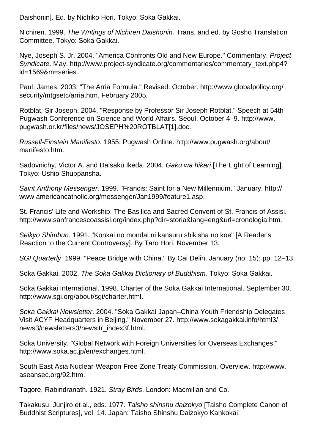Daishonin]. Ed. by Nichiko Hori. Tokyo: Soka Gakkai.

Nichiren. 1999. *The Writings of Nichiren Daishonin.* Trans. and ed. by Gosho Translation Committee. Tokyo: Soka Gakkai.

Nye, Joseph S. Jr. 2004. "America Confronts Old and New Europe." Commentary. *Project Syndicate*. May. http://www.project-syndicate.org/commentaries/commentary\_text.php4? id=1569&m=series.

Paul, James. 2003. "The Arria Formula." Revised. October. http://www.globalpolicy.org/ security/mtgsetc/arria.htm. February 2005.

Rotblat, Sir Joseph. 2004. "Response by Professor Sir Joseph Rotblat." Speech at 54th Pugwash Conference on Science and World Affairs. Seoul. October 4–9. http://www. pugwash.or.kr/files/news/JOSEPH%20ROTBLAT[1].doc.

*Russell-Einstein Manifesto*. 1955. Pugwash Online. http://www.pugwash.org/about/ manifesto.htm.

Sadovnichy, Victor A. and Daisaku Ikeda. 2004. *Gaku wa hikari* [The Light of Learning]. Tokyo: Ushio Shuppansha.

*Saint Anthony Messenger.* 1999. "Francis: Saint for a New Millennium." January. http:// www.americancatholic.org/messenger/Jan1999/feature1.asp.

St. Francis' Life and Workship. The Basilica and Sacred Convent of St. Francis of Assisi. http://www.sanfrancescoassisi.org/index.php?dir=storia&lang=eng&url=cronologia.htm.

*Seikyo Shimbun*. 1991. "Konkai no mondai ni kansuru shikisha no koe" [A Reader's Reaction to the Current Controversy]. By Taro Hori. November 13.

*SGI Quarterly*. 1999. "Peace Bridge with China." By Cai Delin. January (no. 15): pp. 12–13.

Soka Gakkai. 2002. *The Soka Gakkai Dictionary of Buddhism.* Tokyo: Soka Gakkai.

Soka Gakkai International. 1998. Charter of the Soka Gakkai International. September 30. http://www.sgi.org/about/sgi/charter.html.

*Soka Gakkai Newsletter*. 2004. "Soka Gakkai Japan–China Youth Friendship Delegates Visit ACYF Headquarters in Beijing." November 27. http://www.sokagakkai.info/html3/ news3/newsletters3/newsltr\_index3f.html.

Soka University. "Global Network with Foreign Universities for Overseas Exchanges." http://www.soka.ac.jp/en/exchanges.html.

South East Asia Nuclear-Weapon-Free-Zone Treaty Commission. Overview. http://www. aseansec.org/92.htm.

Tagore, Rabindranath. 1921. *Stray Birds*. London: Macmillan and Co.

Takakusu, Junjiro et al., eds. 1977. *Taisho shinshu daizokyo* [Taisho Complete Canon of Buddhist Scriptures], vol. 14. Japan: Taisho Shinshu Daizokyo Kankokai.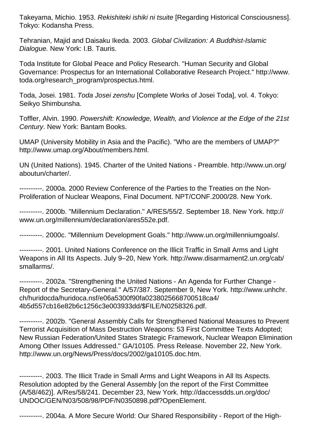Takeyama, Michio. 1953. *Rekishiteki ishiki ni tsuite* [Regarding Historical Consciousness]. Tokyo: Kodansha Press.

Tehranian, Majid and Daisaku Ikeda. 2003. *Global Civilization: A Buddhist-Islamic Dialogue.* New York: I.B. Tauris.

Toda Institute for Global Peace and Policy Research. "Human Security and Global Governance: Prospectus for an International Collaborative Research Project." http://www. toda.org/research\_program/prospectus.html.

Toda, Josei. 1981. *Toda Josei zenshu* [Complete Works of Josei Toda], vol. 4. Tokyo: Seikyo Shimbunsha.

Toffler, Alvin. 1990. *Powershift: Knowledge, Wealth, and Violence at the Edge of the 21st Century*. New York: Bantam Books.

UMAP (University Mobility in Asia and the Pacific). "Who are the members of UMAP?" http://www.umap.org/About/members.html.

UN (United Nations). 1945. Charter of the United Nations - Preamble. http://www.un.org/ aboutun/charter/.

----------. 2000a. 2000 Review Conference of the Parties to the Treaties on the Non-Proliferation of Nuclear Weapons, Final Document. NPT/CONF.2000/28. New York.

----------. 2000b. "Millennium Declaration." A/RES/55/2. September 18. New York. http:// www.un.org/millennium/declaration/ares552e.pdf.

----------. 2000c. "Millennium Development Goals." http://www.un.org/millenniumgoals/.

----------. 2001. United Nations Conference on the Illicit Traffic in Small Arms and Light Weapons in All Its Aspects. July 9–20, New York. http://www.disarmament2.un.org/cab/ smallarms/.

----------. 2002a. "Strengthening the United Nations - An Agenda for Further Change - Report of the Secretary-General." A/57/387. September 9, New York. http://www.unhchr. ch/huridocda/huridoca.nsf/e06a5300f90fa0238025668700518ca4/ 4b5d557cb16e82b6c1256c3e003933dd/\$FILE/N0258326.pdf.

----------. 2002b. "General Assembly Calls for Strengthened National Measures to Prevent Terrorist Acquisition of Mass Destruction Weapons: 53 First Committee Texts Adopted; New Russian Federation/United States Strategic Framework, Nuclear Weapon Elimination Among Other Issues Addressed." GA/10105. Press Release. November 22, New York. http://www.un.org/News/Press/docs/2002/ga10105.doc.htm.

----------. 2003. The Illicit Trade in Small Arms and Light Weapons in All Its Aspects. Resolution adopted by the General Assembly [on the report of the First Committee (A/58/462)]. A/Res/58/241. December 23, New York. http://daccessdds.un.org/doc/ UNDOC/GEN/N03/508/98/PDF/N0350898.pdf?OpenElement.

----------. 2004a. A More Secure World: Our Shared Responsibility - Report of the High-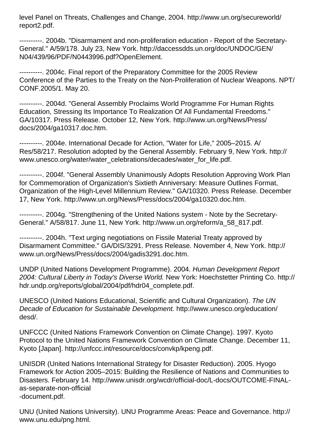level Panel on Threats, Challenges and Change, 2004. http://www.un.org/secureworld/ report2.pdf.

----------. 2004b. "Disarmament and non-proliferation education - Report of the Secretary-General." A/59/178. July 23, New York. http://daccessdds.un.org/doc/UNDOC/GEN/ N04/439/96/PDF/N0443996.pdf?OpenElement.

----------. 2004c. Final report of the Preparatory Committee for the 2005 Review Conference of the Parties to the Treaty on the Non-Proliferation of Nuclear Weapons. NPT/ CONF.2005/1. May 20.

----------. 2004d. "General Assembly Proclaims World Programme For Human Rights Education, Stressing Its Importance To Realization Of All Fundamental Freedoms." GA/10317. Press Release. October 12, New York. http://www.un.org/News/Press/ docs/2004/ga10317.doc.htm.

----------. 2004e. International Decade for Action, "Water for Life," 2005–2015. A/ Res/58/217. Resolution adopted by the General Assembly. February 9, New York. http:// www.unesco.org/water/water\_celebrations/decades/water\_for\_life.pdf.

----------. 2004f. "General Assembly Unanimously Adopts Resolution Approving Work Plan for Commemoration of Organization's Sixtieth Anniversary: Measure Outlines Format, Organization of the High-Level Millennium Review." GA/10320. Press Release. December 17, New York. http://www.un.org/News/Press/docs/2004/ga10320.doc.htm.

----------. 2004g. "Strengthening of the United Nations system - Note by the Secretary-General." A/58/817. June 11, New York. http://www.un.org/reform/a\_58\_817.pdf.

----------. 2004h. "Text urging negotiations on Fissile Material Treaty approved by Disarmament Committee." GA/DIS/3291. Press Release. November 4, New York. http:// www.un.org/News/Press/docs/2004/gadis3291.doc.htm.

UNDP (United Nations Development Programme). 2004. *Human Development Report 2004: Cultural Liberty in Today's Diverse World.* New York: Hoechstetter Printing Co. http:// hdr.undp.org/reports/global/2004/pdf/hdr04\_complete.pdf.

UNESCO (United Nations Educational, Scientific and Cultural Organization). *The UN Decade of Education for Sustainable Development.* http://www.unesco.org/education/ desd/.

UNFCCC (United Nations Framework Convention on Climate Change). 1997. Kyoto Protocol to the United Nations Framework Convention on Climate Change. December 11, Kyoto [Japan]. http://unfccc.int/resource/docs/convkp/kpeng.pdf.

UNISDR (United Nations International Strategy for Disaster Reduction). 2005. Hyogo Framework for Action 2005–2015: Building the Resilience of Nations and Communities to Disasters. February 14. http://www.unisdr.org/wcdr/official-doc/L-docs/OUTCOME-FINALas-separate-non-official -document.pdf.

UNU (United Nations University). UNU Programme Areas: Peace and Governance. http:// www.unu.edu/png.html.